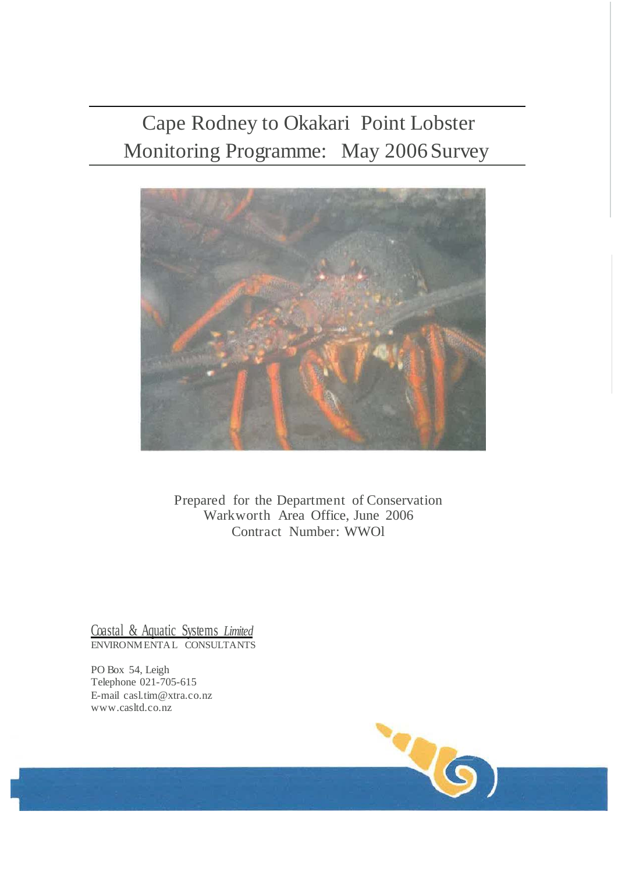# Cape Rodney to Okakari Point Lobster Monitoring Programme: May 2006Survey



Prepared for the Department of Conservation Warkworth Area Office, June 2006 Contract Number: WWOl

Coastal & Aquatic Systems *Limited* ENVIRONMENTAL CONSULTANTS

PO Box 54, Leigh Telephone 021-705-615 E-mail [casl.tim@xtra.co.nz](mailto:casl.tim@xtra.co.nz) [www.casltd.co.nz](http://www.casltd.co.nz/)

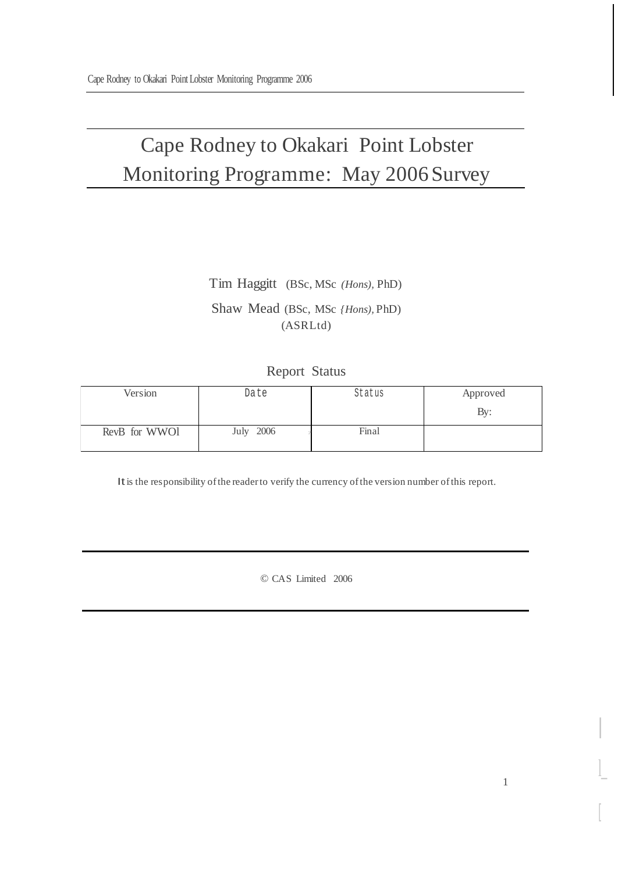# Cape Rodney to Okakari Point Lobster Monitoring Programme: May 2006Survey

# Tim Haggitt (BSc, MSc *(Hons),* PhD) Shaw Mead (BSc, MSc *{Hons),* PhD) (ASRLtd)

### Report Status

| Version       | Date      | Status | Approved |
|---------------|-----------|--------|----------|
|               |           |        | By:      |
| RevB for WWO1 | July 2006 | Final  |          |

It is the responsibility of the reader to verify the currency of the version number of this report.

© CAS Limited 2006

I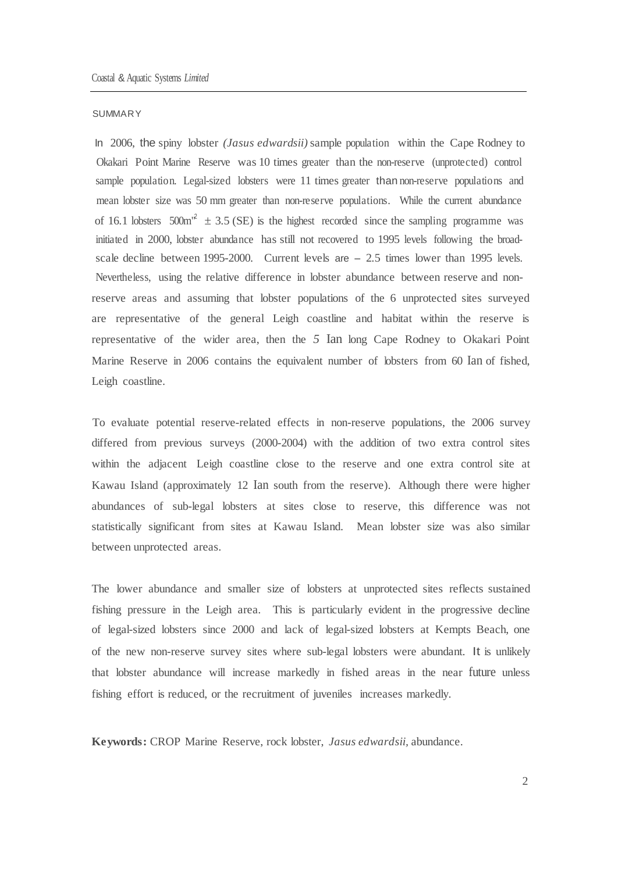#### **SUMMARY**

In 2006, the spiny lobster *(Jasus edwardsii)* sample population within the Cape Rodney to Okakari Point Marine Reserve was 10 times greater than the non-reserve (unprotected) control sample population. Legal-sized lobsters were 11 times greater than non-reserve populations and mean lobster size was 50 mm greater than non-reserve populations. While the current abundance of 16.1 lobsters  $500m^{12} \pm 3.5$  (SE) is the highest recorded since the sampling programme was initiated in 2000, lobster abundance has still not recovered to 1995 levels following the broadscale decline between 1995-2000. Current levels are  $-2.5$  times lower than 1995 levels. Nevertheless, using the relative difference in lobster abundance between reserve and nonreserve areas and assuming that lobster populations of the 6 unprotected sites surveyed are representative of the general Leigh coastline and habitat within the reserve is representative of the wider area, then the *5* Ian long Cape Rodney to Okakari Point Marine Reserve in 2006 contains the equivalent number of lobsters from 60 Ian of fished, Leigh coastline.

To evaluate potential reserve-related effects in non-reserve populations, the 2006 survey differed from previous surveys (2000-2004) with the addition of two extra control sites within the adjacent Leigh coastline close to the reserve and one extra control site at Kawau Island (approximately 12 Ian south from the reserve). Although there were higher abundances of sub-legal lobsters at sites close to reserve, this difference was not statistically significant from sites at Kawau Island. Mean lobster size was also similar between unprotected areas.

The lower abundance and smaller size of lobsters at unprotected sites reflects sustained fishing pressure in the Leigh area. This is particularly evident in the progressive decline of legal-sized lobsters since 2000 and lack of legal-sized lobsters at Kempts Beach, one of the new non-reserve survey sites where sub-legal lobsters were abundant. It is unlikely that lobster abundance will increase markedly in fished areas in the near future unless fishing effort is reduced, or the recruitment of juveniles increases markedly.

**Keywords:** CROP Marine Reserve, rock lobster, *Jasus edwardsii,* abundance.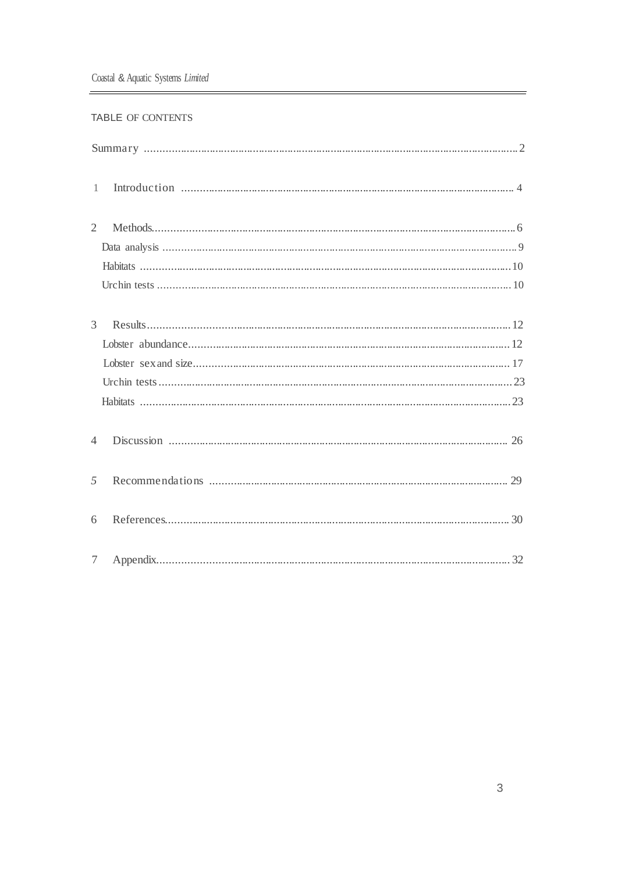#### TABLE OF CONTENTS

| $\mathbf{1}$    |  |
|-----------------|--|
| $\overline{2}$  |  |
|                 |  |
|                 |  |
|                 |  |
| $\mathfrak{Z}$  |  |
|                 |  |
|                 |  |
|                 |  |
|                 |  |
| $\overline{4}$  |  |
| 5               |  |
| 6               |  |
| $7\phantom{.0}$ |  |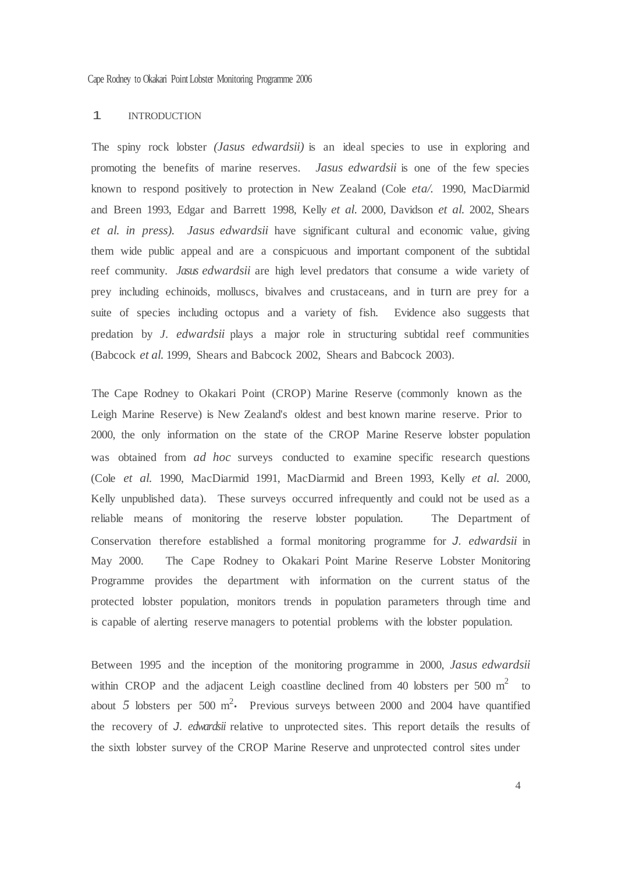Cape Rodney to Okakari Point Lobster Monitoring Programme 2006

#### 1 INTRODUCTION

The spiny rock lobster *(Jasus edwardsii)* is an ideal species to use in exploring and promoting the benefits of marine reserves. *Jasus edwardsii* is one of the few species known to respond positively to protection in New Zealand (Cole *eta/.* 1990, MacDiarmid and Breen 1993, Edgar and Barrett 1998, Kelly *et al.* 2000, Davidson *et al.* 2002, Shears *et al. in press). Jasus edwardsii* have significant cultural and economic value, giving them wide public appeal and are a conspicuous and important component of the subtidal reef community. *Jasus edwardsii* are high level predators that consume a wide variety of prey including echinoids, molluscs, bivalves and crustaceans, and in turn are prey for a suite of species including octopus and a variety of fish. Evidence also suggests that predation by *J. edwardsii* plays a major role in structuring subtidal reef communities (Babcock *et al.* 1999, Shears and Babcock 2002, Shears and Babcock 2003).

The Cape Rodney to Okakari Point (CROP) Marine Reserve (commonly known as the Leigh Marine Reserve) is New Zealand's oldest and best known marine reserve. Prior to 2000, the only information on the state of the CROP Marine Reserve lobster population was obtained from *ad hoc* surveys conducted to examine specific research questions (Cole *et al.* 1990, MacDiarmid 1991, MacDiarmid and Breen 1993, Kelly *et al.* 2000, Kelly unpublished data). These surveys occurred infrequently and could not be used as a reliable means of monitoring the reserve lobster population. The Department of Conservation therefore established a formal monitoring programme for *J. edwardsii* in May 2000. The Cape Rodney to Okakari Point Marine Reserve Lobster Monitoring Programme provides the department with information on the current status of the protected lobster population, monitors trends in population parameters through time and is capable of alerting reserve managers to potential problems with the lobster population.

Between 1995 and the inception of the monitoring programme in 2000, *Jasus edwardsii*  within CROP and the adjacent Leigh coastline declined from 40 lobsters per 500  $m<sup>2</sup>$  to about 5 lobsters per 500  $m^2$ . Previous surveys between 2000 and 2004 have quantified the recovery of *J. edwardsii* relative to unprotected sites. This report details the results of the sixth lobster survey of the CROP Marine Reserve and unprotected control sites under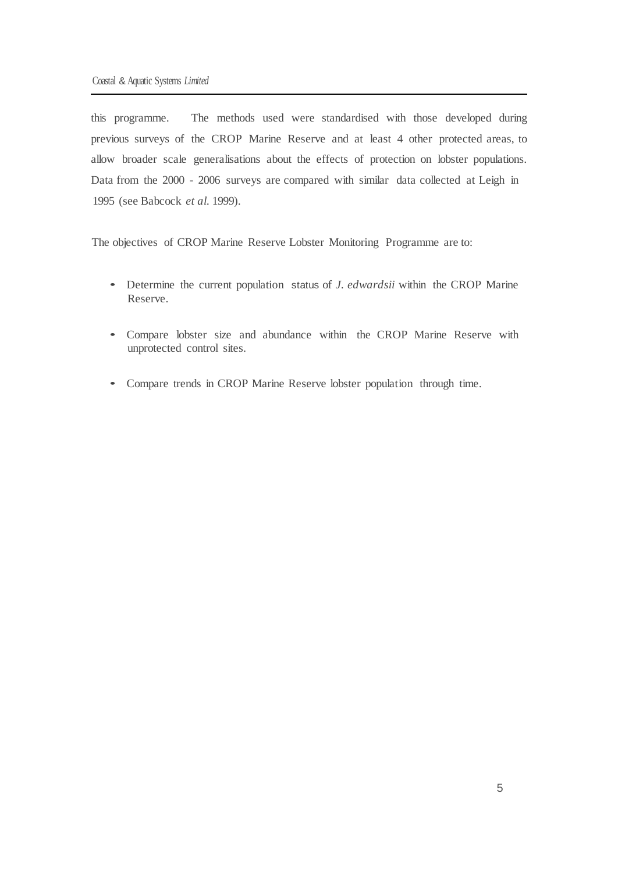this programme. The methods used were standardised with those developed during previous surveys of the CROP Marine Reserve and at least 4 other protected areas, to allow broader scale generalisations about the effects of protection on lobster populations. Data from the 2000 - 2006 surveys are compared with similar data collected at Leigh in 1995 (see Babcock *et al.* 1999).

The objectives of CROP Marine Reserve Lobster Monitoring Programme are to:

- Determine the current population status of *J. edwardsii* within the CROP Marine Reserve.
- Compare lobster size and abundance within the CROP Marine Reserve with unprotected control sites.
- Compare trends in CROP Marine Reserve lobster population through time.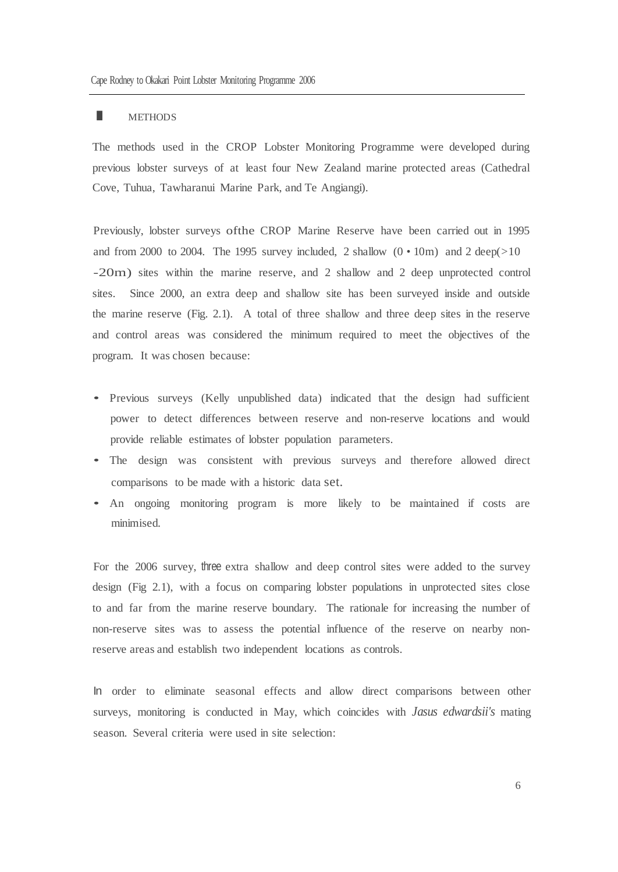The methods used in the CROP Lobster Monitoring Programme were developed during previous lobster surveys of at least four New Zealand marine protected areas (Cathedral Cove, Tuhua, Tawharanui Marine Park, and Te Angiangi).

Previously, lobster surveys ofthe CROP Marine Reserve have been carried out in 1995 and from 2000 to 2004. The 1995 survey included, 2 shallow  $(0 \cdot 10m)$  and 2 deep( $>10$ -20m) sites within the marine reserve, and 2 shallow and 2 deep unprotected control sites. Since 2000, an extra deep and shallow site has been surveyed inside and outside the marine reserve (Fig. 2.1). A total of three shallow and three deep sites in the reserve and control areas was considered the minimum required to meet the objectives of the program. It was chosen because:

- Previous surveys (Kelly unpublished data) indicated that the design had sufficient power to detect differences between reserve and non-reserve locations and would provide reliable estimates of lobster population parameters.
- The design was consistent with previous surveys and therefore allowed direct comparisons to be made with a historic data set.
- An ongoing monitoring program is more likely to be maintained if costs are minimised.

For the 2006 survey, three extra shallow and deep control sites were added to the survey design (Fig 2.1), with a focus on comparing lobster populations in unprotected sites close to and far from the marine reserve boundary. The rationale for increasing the number of non-reserve sites was to assess the potential influence of the reserve on nearby nonreserve areas and establish two independent locations as controls.

In order to eliminate seasonal effects and allow direct comparisons between other surveys, monitoring is conducted in May, which coincides with *Jasus edwardsii's* mating season. Several criteria were used in site selection: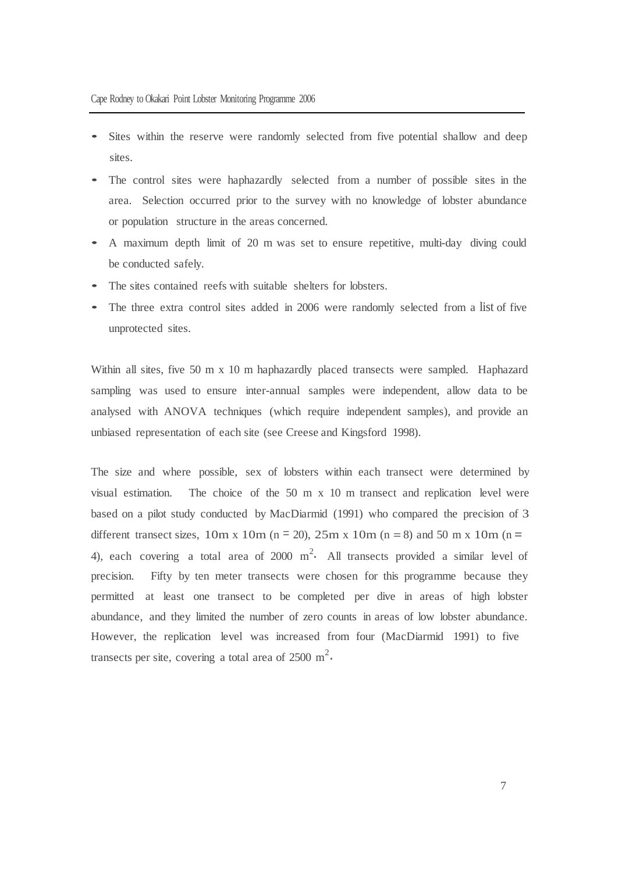- Sites within the reserve were randomly selected from five potential shallow and deep sites.
- The control sites were haphazardly selected from <sup>a</sup> number of possible sites in the area. Selection occurred prior to the survey with no knowledge of lobster abundance or population structure in the areas concerned.
- <sup>A</sup> maximum depth limit of <sup>20</sup> <sup>m</sup> was set to ensure repetitive, multi-day diving could be conducted safely.
- The sites contained reefs with suitable shelters for lobsters.
- The three extra control sites added in 2006 were randomly selected from a list of five unprotected sites.

Within all sites, five 50 m x 10 m haphazardly placed transects were sampled. Haphazard sampling was used to ensure inter-annual samples were independent, allow data to be analysed with ANOVA techniques (which require independent samples), and provide an unbiased representation of each site (see Creese and Kingsford 1998).

The size and where possible, sex of lobsters within each transect were determined by visual estimation. The choice of the 50 m x 10 m transect and replication level were based on a pilot study conducted by MacDiarmid (1991) who compared the precision of 3 different transect sizes, 10m x 10m (n = 20), 25m x 10m (n = 8) and 50 m x 10m (n = 4), each covering a total area of 2000  $m^2$ . All transects provided a similar level of precision. Fifty by ten meter transects were chosen for this programme because they permitted at least one transect to be completed per dive in areas of high lobster abundance, and they limited the number of zero counts in areas of low lobster abundance. However, the replication level was increased from four (MacDiarmid 1991) to five transects per site, covering a total area of 2500 m<sup>2</sup>.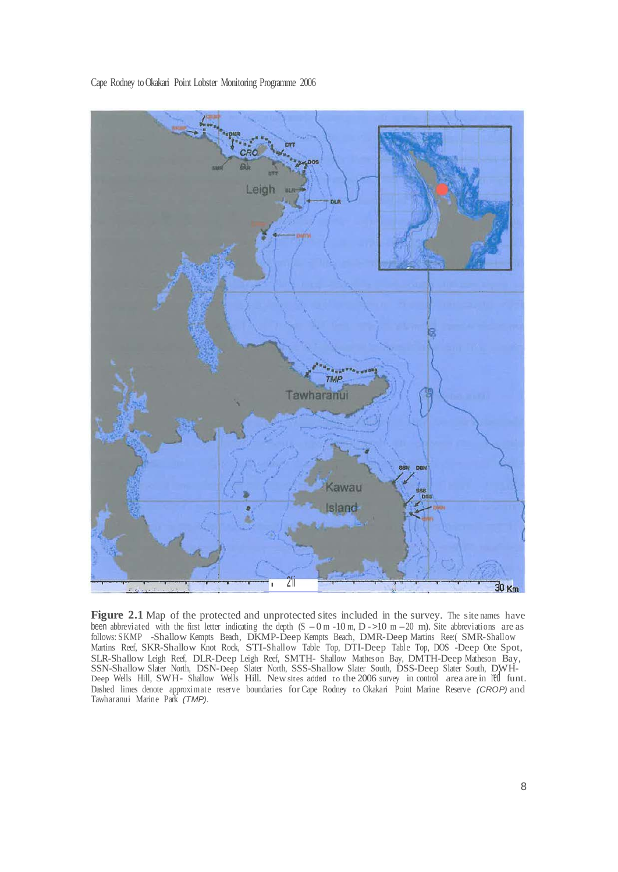

Cape Rodney toOkakari Point Lobster Monitoring Programme 2006

**Figure** 2.1 Map of the protected and unprotected sites included in the survey. The site names have been abbreviated with the first letter indicating the depth  $(S - 0 m - 10 m, D - 10 m - 20 m)$ . Site abbreviations are as follows: SKMP -Shallow Kempts Beach, DKMP-Deep Kempts Beach, DMR-Deep Martins Ree:( SMR-Shallow Martins Reef, SKR-Shallow Knot Rock, STI-Shallow Table Top, DTI-Deep Table Top, DOS -Deep One Spot, SLR-Shallow Leigh Reef, DLR-Deep Leigh Reef, SMTH- Shallow Matheson Bay, DMTH-Deep Matheson Bay, SSN-Shallow Slater North, DSN-Deep Slater North, SSS-Shallow Slater South, DSS-Deep Slater South, DWH-Deep Wells Hill, SWH- Shallow Wells Hill. Newsites added to the 2006 survey in control area are in red funt. Dashed limes denote approximate reserve boundaries forCape Rodney to Okakari Point Marine Reserve *(CROP)* and Tawharanui Marine Park *(TMP).*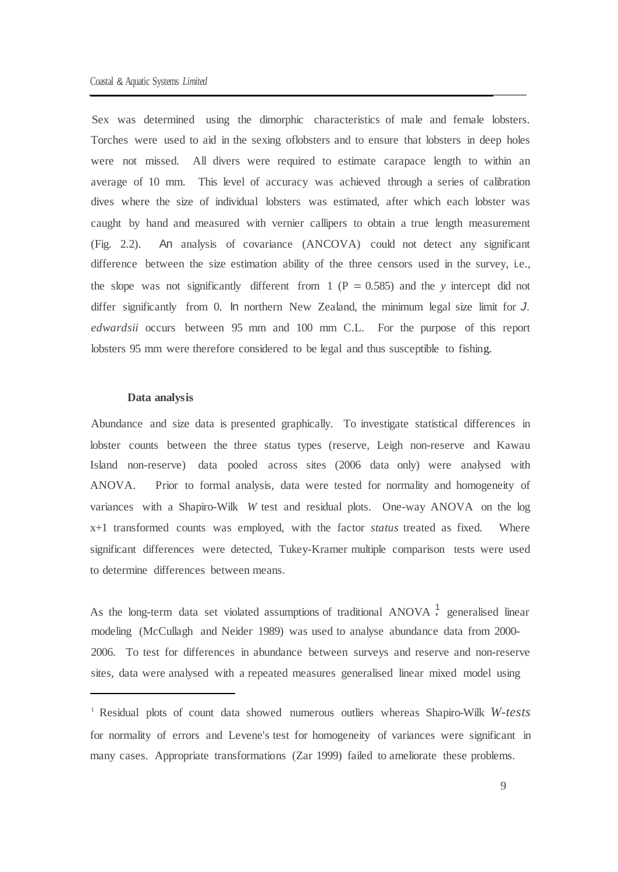Sex was determined using the dimorphic characteristics of male and female lobsters. Torches were used to aid in the sexing oflobsters and to ensure that lobsters in deep holes were not missed. All divers were required to estimate carapace length to within an average of 10 mm. This level of accuracy was achieved through a series of calibration dives where the size of individual lobsters was estimated, after which each lobster was caught by hand and measured with vernier callipers to obtain a true length measurement (Fig. 2.2). An analysis of covariance (ANCOVA) could not detect any significant difference between the size estimation ability of the three censors used in the survey, i.e., the slope was not significantly different from  $1 (P = 0.585)$  and the *y* intercept did not differ significantly from 0. In northern New Zealand, the minimum legal size limit for *J. edwardsii* occurs between 95 mm and 100 mm C.L. For the purpose of this report lobsters 95 mm were therefore considered to be legal and thus susceptible to fishing.

#### **Data analysis**

Abundance and size data is presented graphically. To investigate statistical differences in lobster counts between the three status types (reserve, Leigh non-reserve and Kawau Island non-reserve) data pooled across sites (2006 data only) were analysed with ANOVA. Prior to formal analysis, data were tested for normality and homogeneity of variances with a Shapiro-Wilk *W* test and residual plots. One-way ANOVA on the log x+1 transformed counts was employed, with the factor *status* treated as fixed. Where significant differences were detected, Tukey-Kramer multiple comparison tests were used to determine differences between means.

As the long-term data set violated assumptions of traditional ANOVA 1 generalised linear modeling (McCullagh and Neider 1989) was used to analyse abundance data from 2000- 2006. To test for differences in abundance between surveys and reserve and non-reserve sites, data were analysed with a repeated measures generalised linear mixed model using

<sup>1</sup> Residual plots of count data showed numerous outliers whereas Shapiro-Wilk *W-tests*  for normality of errors and Levene's test for homogeneity of variances were significant in many cases. Appropriate transformations (Zar 1999) failed to ameliorate these problems.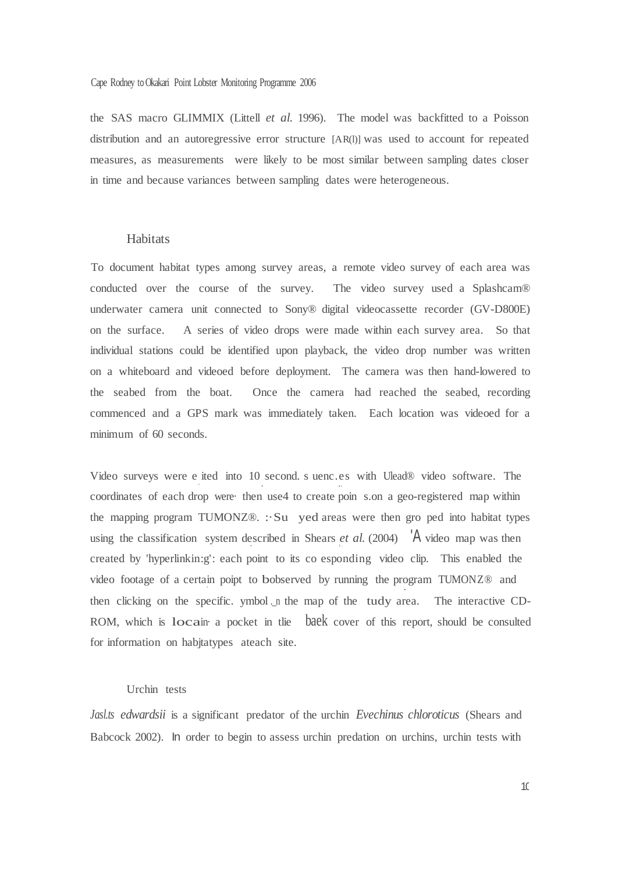#### Cape Rodney toOkakari Point Lobster Monitoring Programme 2006

the SAS macro GLIMMIX (Littell *et al.* 1996). The model was backfitted to a Poisson distribution and an autoregressive error structure [AR(l)] was used to account for repeated measures, as measurements were likely to be most similar between sampling dates closer in time and because variances between sampling dates were heterogeneous.

#### **Habitats**

To document habitat types among survey areas, a remote video survey of each area was conducted over the course of the survey. The video survey used a Splashcam® underwater camera unit connected to Sony® digital videocassette recorder (GV-D800E) on the surface. A series of video drops were made within each survey area. So that individual stations could be identified upon playback, the video drop number was written on a whiteboard and videoed before deployment. The camera was then hand-lowered to the seabed from the boat. Once the camera had reached the seabed, recording commenced and a GPS mark was immediately taken. Each location was videoed for a minimum of 60 seconds.

Video surveys were e ited into 10 second. s uenc.es with Ulead® video software. The coordinates of each drop were· then use4 to create poin s.on a geo-registered map within the mapping program TUMONZ®. :·Su yed areas were then gro ped into habitat types using the classification system described in Shears *et al.* (2004)  $\overline{A}$  video map was then created by 'hyperlinkin:g': each point to its co esponding video clip. This enabled the video footage of a certain poipt to bobserved by running the program TUMONZ® and ' . then clicking on the specific. ymbol n the map of the tudy area. The interactive CD-ROM, which is locain· <sup>a</sup> pocket in tlie baek cover of this report, should be consulted for information on habjtatypes ateach site.

#### Urchin tests

*Jasl.ts edwardsii* is a significant predator of the urchin *Evechinus chloroticus* (Shears and Babcock 2002). In order to begin to assess urchin predation on urchins, urchin tests with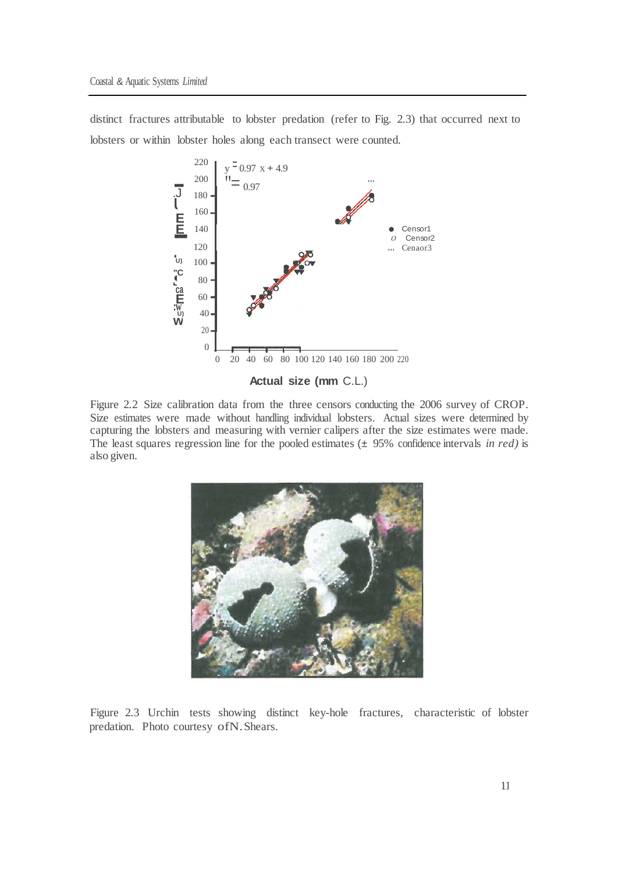distinct fractures attributable to lobster predation (refer to Fig. 2.3) that occurred next to lobsters or within lobster holes along each transect were counted.



**Actual size (mm** C.L.)

Figure 2.2 Size calibration data from the three censors conducting the 2006 survey of CROP. Size estimates were made without handling individual lobsters. Actual sizes were determined by capturing the lobsters and measuring with vernier calipers after the size estimates were made. The least squares regression line for the pooled estimates (± 95% confidence intervals *in red)* is also given.



Figure 2.3 Urchin tests showing distinct key-hole fractures, characteristic of lobster predation. Photo courtesy ofN.Shears.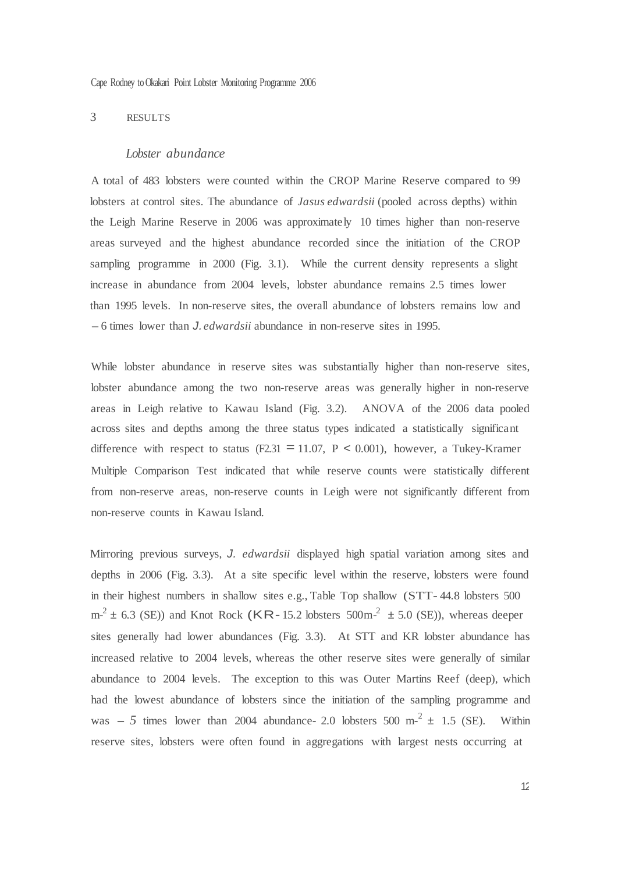Cape Rodney toOkakari Point Lobster Monitoring Programme 2006

#### 3 RESULTS

#### *Lobster abundance*

A total of 483 lobsters were counted within the CROP Marine Reserve compared to 99 lobsters at control sites. The abundance of *Jasus edwardsii* (pooled across depths) within the Leigh Marine Reserve in 2006 was approximately 10 times higher than non-reserve areas surveyed and the highest abundance recorded since the initiation of the CROP sampling programme in 2000 (Fig. 3.1). While the current density represents a slight increase in abundance from 2004 levels, lobster abundance remains 2.5 times lower than 1995 levels. In non-reserve sites, the overall abundance of lobsters remains low and -6 times lower than *J. edwardsii* abundance in non-reserve sites in 1995.

While lobster abundance in reserve sites was substantially higher than non-reserve sites, lobster abundance among the two non-reserve areas was generally higher in non-reserve areas in Leigh relative to Kawau Island (Fig. 3.2). ANOVA of the 2006 data pooled across sites and depths among the three status types indicated a statistically significant difference with respect to status (F2.31 = 11.07, P < 0.001), however, a Tukey-Kramer Multiple Comparison Test indicated that while reserve counts were statistically different from non-reserve areas, non-reserve counts in Leigh were not significantly different from non-reserve counts in Kawau Island.

Mirroring previous surveys, *J. edwardsii* displayed high spatial variation among sites and depths in 2006 (Fig. 3.3). At a site specific level within the reserve, lobsters were found in their highest numbers in shallow sites e.g., Table Top shallow (STT- 44.8 lobsters 500  $m^2 \pm 6.3$  (SE)) and Knot Rock (KR-15.2 lobsters 500m<sup>-2</sup>  $\pm$  5.0 (SE)), whereas deeper sites generally had lower abundances (Fig. 3.3). At STT and KR lobster abundance has increased relative to 2004 levels, whereas the other reserve sites were generally of similar abundance to 2004 levels. The exception to this was Outer Martins Reef (deep), which had the lowest abundance of lobsters since the initiation of the sampling programme and was  $-5$  times lower than 2004 abundance- 2.0 lobsters 500 m<sup>-2</sup>  $\pm$  1.5 (SE). Within reserve sites, lobsters were often found in aggregations with largest nests occurring at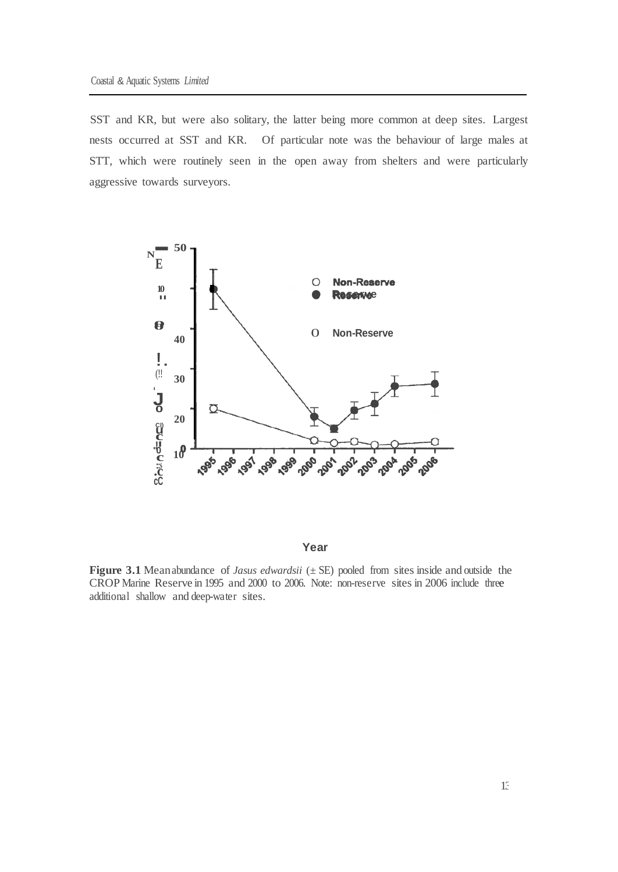SST and KR, but were also solitary, the latter being more common at deep sites. Largest nests occurred at SST and KR. Of particular note was the behaviour of large males at STT, which were routinely seen in the open away from shelters and were particularly aggressive towards surveyors.



**Year**

**Figure 3.1** Meanabundance of *Jasus edwardsii* (± SE) pooled from sites inside and outside the CROP Marine Reserve in 1995 and 2000 to 2006. Note: non-reserve sites in 2006 include three additional shallow and deep-water sites.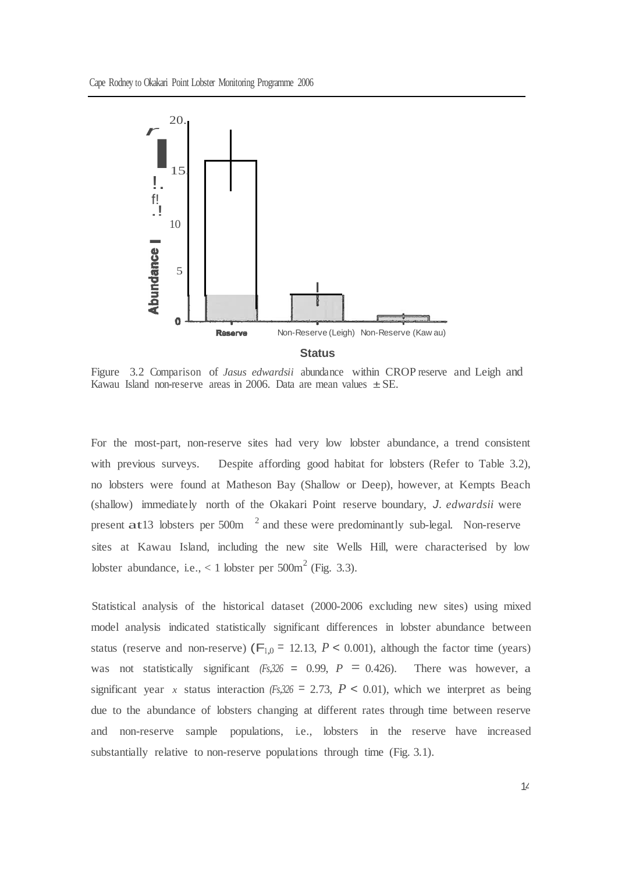

Figure 3.2 Comparison of *Jasus edwardsii* abundance within CROP reserve and Leigh and Kawau Island non-reserve areas in 2006. Data are mean values  $\pm$  SE.

For the most-part, non-reserve sites had very low lobster abundance, a trend consistent with previous surveys. Despite affording good habitat for lobsters (Refer to Table 3.2), no lobsters were found at Matheson Bay (Shallow or Deep), however, at Kempts Beach (shallow) immediately north of the Okakari Point reserve boundary, *J. edwardsii* were present  $\text{at}13$  lobsters per 500m  $^{-2}$  and these were predominantly sub-legal. Non-reserve sites at Kawau Island, including the new site Wells Hill, were characterised by low lobster abundance, i.e.,  $< 1$  lobster per 500 $m<sup>2</sup>$  (Fig. 3.3).

Statistical analysis of the historical dataset (2000-2006 excluding new sites) using mixed model analysis indicated statistically significant differences in lobster abundance between status (reserve and non-reserve) ( $F_{1,0}$  = 12.13,  $P$  < 0.001), although the factor time (years) was not statistically significant  $(Fs,326 = 0.99, P = 0.426)$ . There was however, a significant year *x* status interaction  $(Fs,326 = 2.73, P < 0.01)$ , which we interpret as being due to the abundance of lobsters changing at different rates through time between reserve and non-reserve sample populations, i.e., lobsters in the reserve have increased substantially relative to non-reserve populations through time (Fig. 3.1).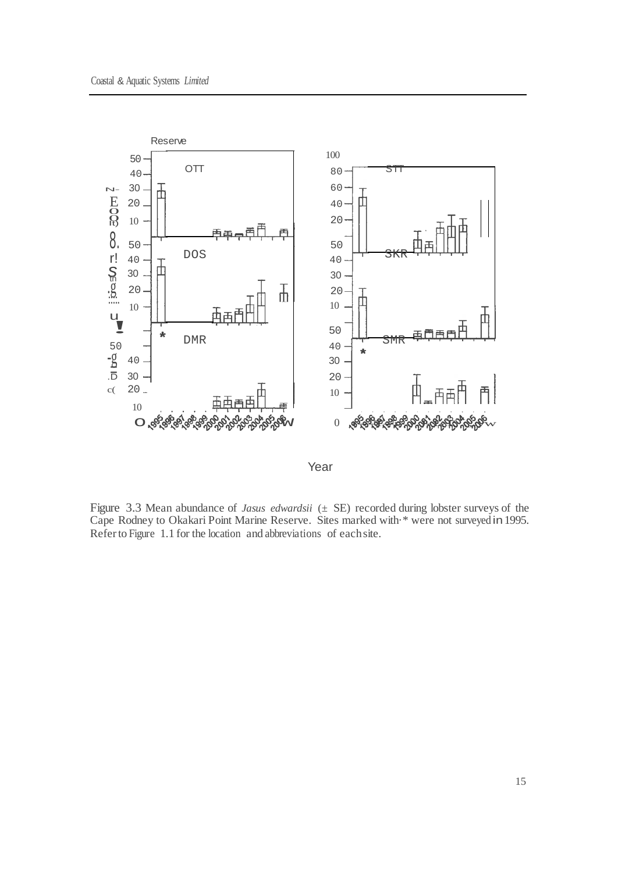

Year

Figure 3.3 Mean abundance of *Jasus edwardsii* (± SE) recorded during lobster surveys of the Cape Rodney to Okakari Point Marine Reserve. Sites marked with·\* were not surveyed in1995. Referto Figure 1.1 for the location and abbreviations of eachsite.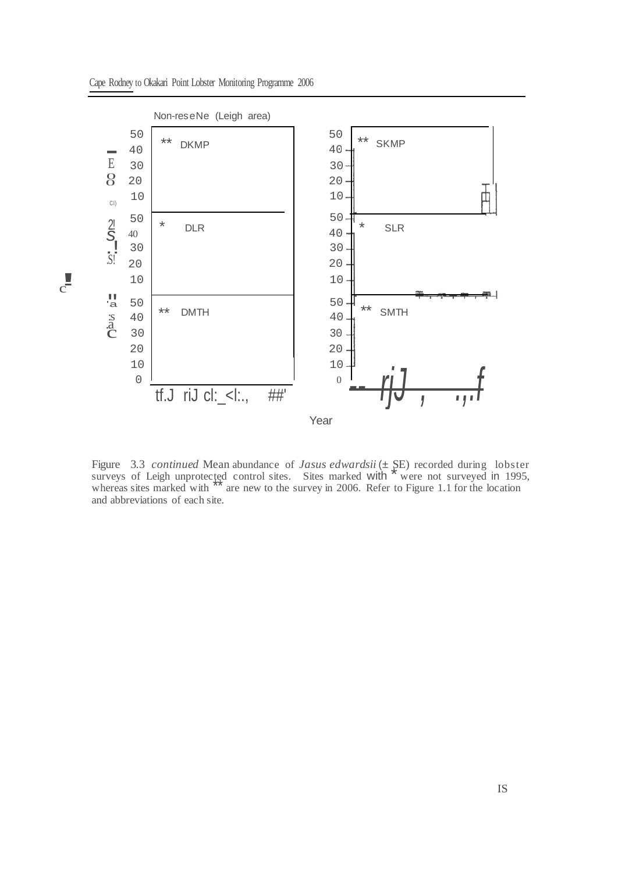

Cape Rodney to Okakari Point Lobster Monitoring Programme 2006

Figure 3.3 *continued* Mean abundance of *Jasus edwardsii* ( $\pm$  SE) recorded during lobster surveys of Leigh unprotected control sites. Sites marked with  $*$  were not surveyed in 1995, whereas sites marked with are new to the survey in 2006. Refer to Figure 1.1 for the location and abbreviations of each site.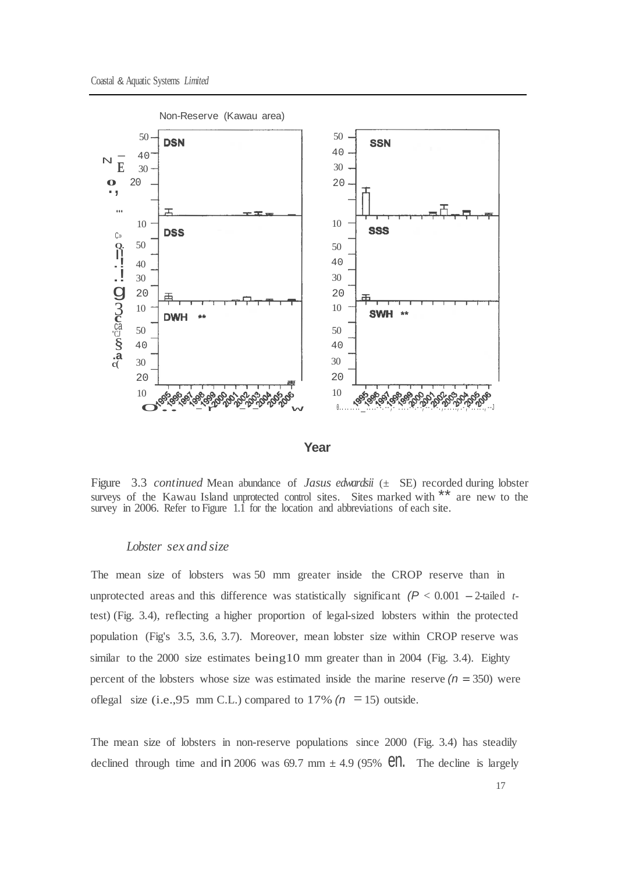



Figure 3.3 *continued* Mean abundance of *Jasus edwardsii* (± SE) recorded during lobster surveys of the Kawau Island unprotected control sites. Sites marked with \*\* are new to the survey in 2006. Refer to Figure 1.1 for the location and abbreviations of each site.

#### *Lobster sex and size*

The mean size of lobsters was 50 mm greater inside the CROP reserve than in unprotected areas and this difference was statistically significant  $(P < 0.001 - 2$ -tailed *t*test) (Fig. 3.4), reflecting a higher proportion of legal-sized lobsters within the protected population (Fig's 3.5, 3.6, 3.7). Moreover, mean lobster size within CROP reserve was similar to the 2000 size estimates being10 mm greater than in 2004 (Fig. 3.4). Eighty percent of the lobsters whose size was estimated inside the marine reserve  $(n = 350)$  were oflegal size (i.e., 95 mm C.L.) compared to 17%  $(n = 15)$  outside.

The mean size of lobsters in non-reserve populations since 2000 (Fig. 3.4) has steadily declined through time and in 2006 was 69.7 mm  $\pm$  4.9 (95% **en.** The decline is largely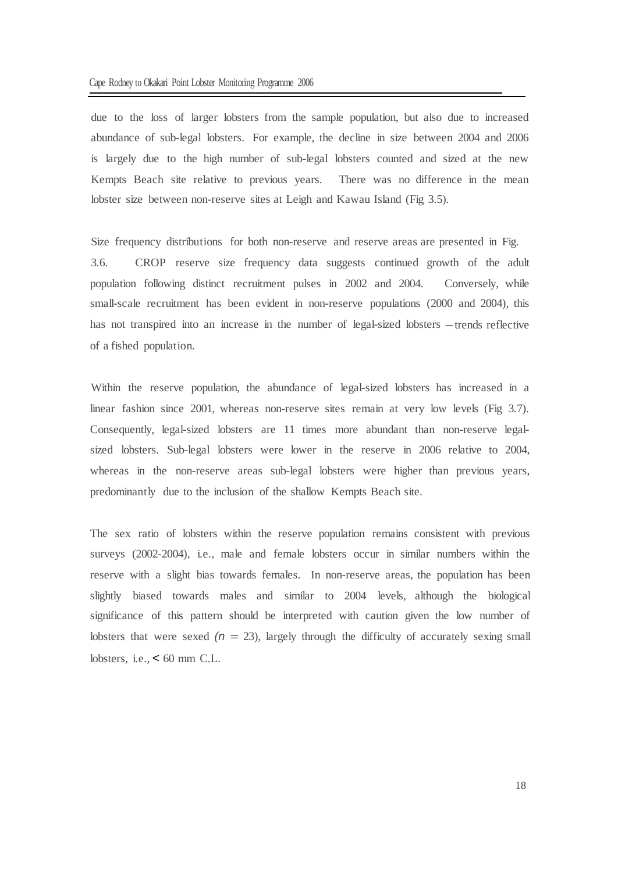due to the loss of larger lobsters from the sample population, but also due to increased abundance of sub-legal lobsters. For example, the decline in size between 2004 and 2006 is largely due to the high number of sub-legal lobsters counted and sized at the new Kempts Beach site relative to previous years. There was no difference in the mean lobster size between non-reserve sites at Leigh and Kawau Island (Fig 3.5).

Size frequency distributions for both non-reserve and reserve areas are presented in Fig. 3.6. CROP reserve size frequency data suggests continued growth of the adult population following distinct recruitment pulses in 2002 and 2004. Conversely, while small-scale recruitment has been evident in non-reserve populations (2000 and 2004), this has not transpired into an increase in the number of legal-sized lobsters – trends reflective of a fished population.

Within the reserve population, the abundance of legal-sized lobsters has increased in a linear fashion since 2001, whereas non-reserve sites remain at very low levels (Fig 3.7). Consequently, legal-sized lobsters are 11 times more abundant than non-reserve legalsized lobsters. Sub-legal lobsters were lower in the reserve in 2006 relative to 2004, whereas in the non-reserve areas sub-legal lobsters were higher than previous years, predominantly due to the inclusion of the shallow Kempts Beach site.

The sex ratio of lobsters within the reserve population remains consistent with previous surveys (2002-2004), i.e., male and female lobsters occur in similar numbers within the reserve with a slight bias towards females. In non-reserve areas, the population has been slightly biased towards males and similar to 2004 levels, although the biological significance of this pattern should be interpreted with caution given the low number of lobsters that were sexed  $(n = 23)$ , largely through the difficulty of accurately sexing small lobsters, i.e.,  $\lt$  60 mm C.L.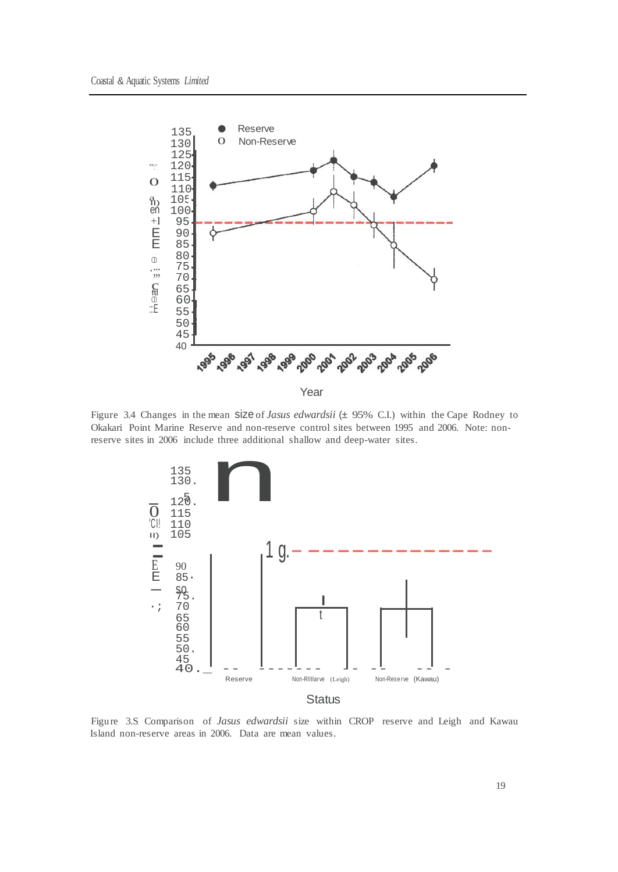

Figure 3.4 Changes in the mean size of *Jasus edwardsii* (± 95% C.I.) within the Cape Rodney to Okakari Point Marine Reserve and non-reserve control sites between 1995 and 2006. Note: nonreserve sites in 2006 include three additional shallow and deep-water sites.



Figure 3.S Comparison of *Jasus edwardsii* size within CROP reserve and Leigh and Kawau Island non-reserve areas in 2006. Data are mean values.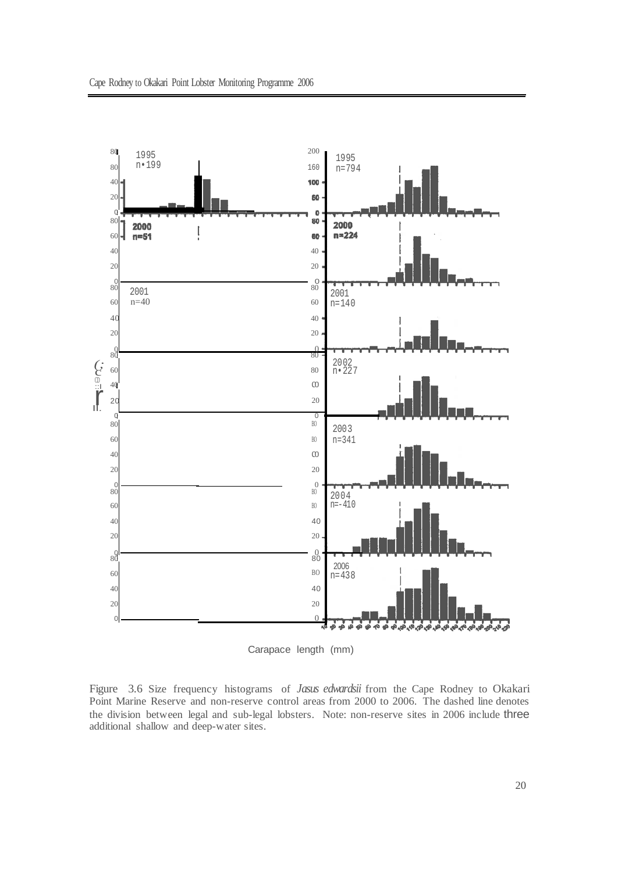

Carapace length (mm)

Figure 3.6 Size frequency histograms of *Jasus edwardsii* from the Cape Rodney to Okakari Point Marine Reserve and non-reserve control areas from 2000 to 2006. The dashed line denotes the division between legal and sub-legal lobsters. Note: non-reserve sites in 2006 include three additional shallow and deep-water sites.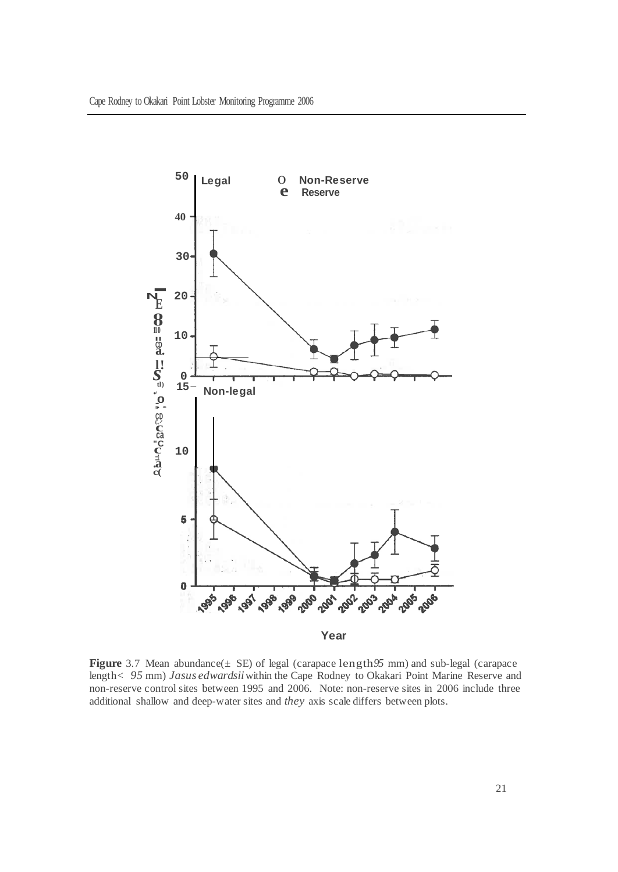

**Figure** 3.7 Mean abundance(± SE) of legal (carapace length*95* mm) and sub-legal (carapace length< *95* mm) *Jasus edwardsii*within the Cape Rodney to Okakari Point Marine Reserve and non-reserve control sites between 1995 and 2006. Note: non-reserve sites in 2006 include three additional shallow and deep-water sites and *they* axis scale differs between plots.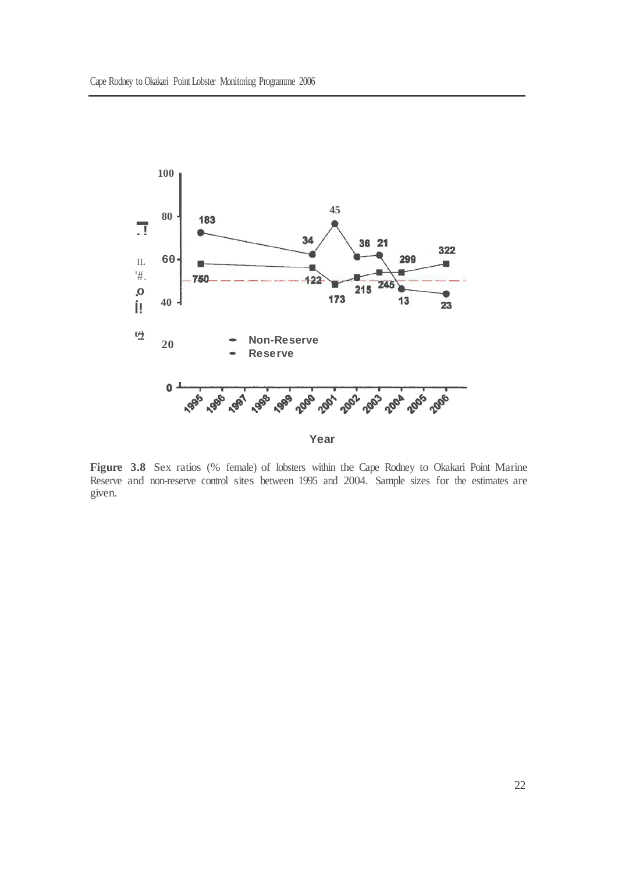

**Figure 3.8** Sex ratios (% female) of lobsters within the Cape Rodney to Okakari Point Marine Reserve and non-reserve control sites between 1995 and 2004. Sample sizes for the estimates are given.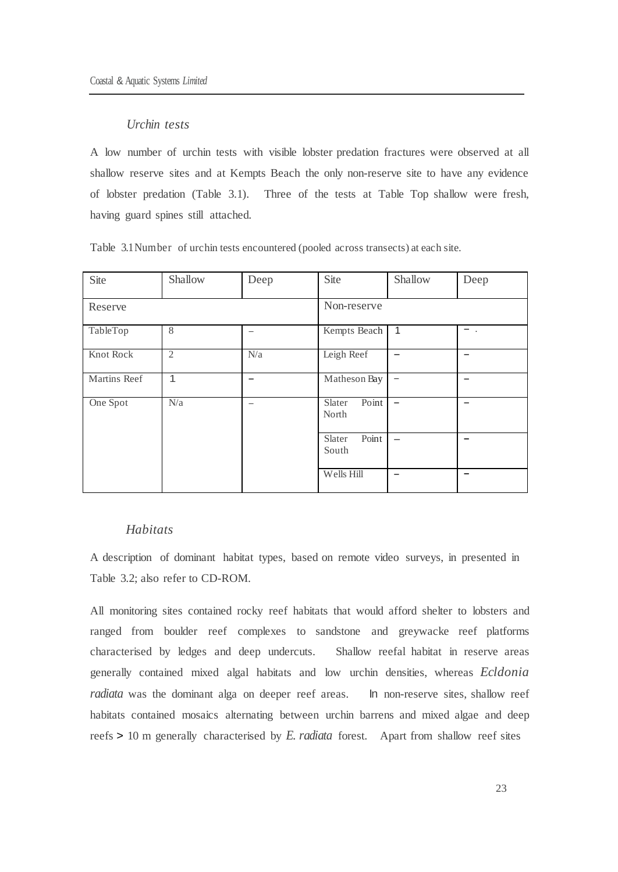### *Urchin tests*

A low number of urchin tests with visible lobster predation fractures were observed at all shallow reserve sites and at Kempts Beach the only non-reserve site to have any evidence of lobster predation (Table 3.1). Three of the tests at Table Top shallow were fresh, having guard spines still attached.

| Site         | Shallow        | Deep | Site                     | Shallow                  | Deep          |
|--------------|----------------|------|--------------------------|--------------------------|---------------|
| Reserve      |                |      | Non-reserve              |                          |               |
| TableTop     | 8              |      | Kempts Beach             | 1                        | $\sim$ $\sim$ |
| Knot Rock    | $\overline{2}$ | N/a  | Leigh Reef               |                          | -             |
| Martins Reef | 1              | -    | Matheson Bay             | $\overline{\phantom{0}}$ |               |
| One Spot     | N/a            | -    | Point<br>Slater<br>North |                          |               |
|              |                |      | Point<br>Slater<br>South |                          | -             |
|              |                |      | Wells Hill               |                          | -             |

Table 3.1Number of urchin tests encountered (pooled across transects) at each site.

### *Habitats*

A description of dominant habitat types, based on remote video surveys, in presented in Table 3.2; also refer to CD-ROM.

All monitoring sites contained rocky reef habitats that would afford shelter to lobsters and ranged from boulder reef complexes to sandstone and greywacke reef platforms characterised by ledges and deep undercuts. Shallow reefal habitat in reserve areas generally contained mixed algal habitats and low urchin densities, whereas *Ecldonia radiata* was the dominant alga on deeper reef areas. In non-reserve sites, shallow reef habitats contained mosaics alternating between urchin barrens and mixed algae and deep reefs > 10 m generally characterised by *E. radiata* forest. Apart from shallow reef sites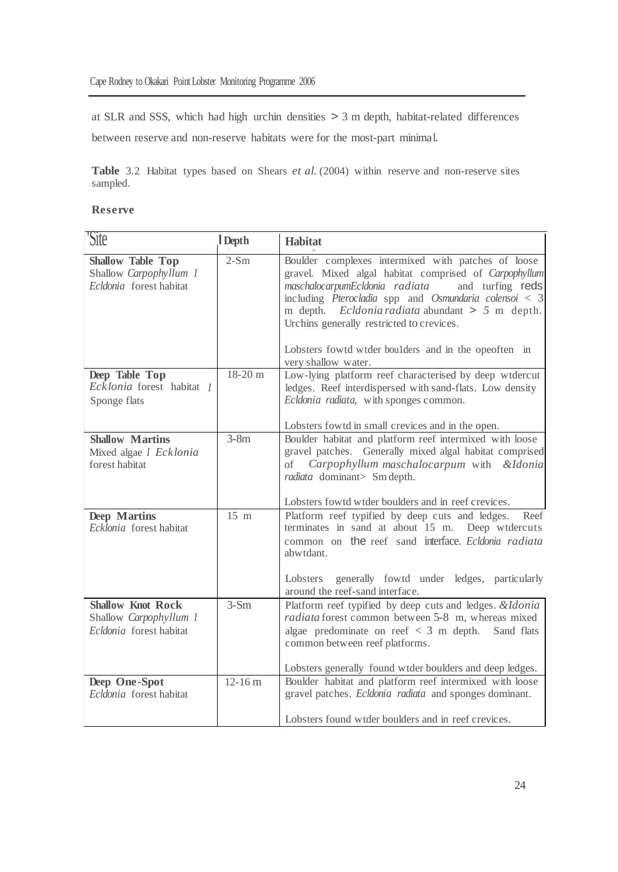at SLR and SSS, which had high urchin densities > 3 m depth, habitat-related differences between reserve and non-reserve habitats were for the most-part minimal.

**Table** 3.2 Habitat types based on Shears *et al.* (2004) within reserve and non-reserve sites sampled.

#### **Reserve**

| Site                                                                          | Depth          | <b>Habitat</b>                                                                                                                                                                                                                                                                                                                                                                                                |
|-------------------------------------------------------------------------------|----------------|---------------------------------------------------------------------------------------------------------------------------------------------------------------------------------------------------------------------------------------------------------------------------------------------------------------------------------------------------------------------------------------------------------------|
| <b>Shallow Table Top</b><br>Shallow Carpophyllum I<br>Ecldonia forest habitat | $2-Sm$         | Boulder complexes intermixed with patches of loose<br>gravel. Mixed algal habitat comprised of Carpophyllum<br>maschalocarpumEcldonia radiata<br>and turfing reds<br>including Pterocladia spp and Osmundaria colensoi $<$ 3<br>m depth. Ecldonia radiata abundant $> 5$ m depth.<br>Urchins generally restricted to crevices.<br>Lobsters fowtd wtder boulders and in the opeoften in<br>very shallow water. |
| Deep Table Top<br>Ecklonia forest habitat I<br>Sponge flats                   | $18-20$ m      | Low-lying platform reef characterised by deep wtdercut<br>ledges. Reef interdispersed with sand-flats. Low density<br>Ecldonia radiata, with sponges common.<br>Lobsters fowtd in small crevices and in the open.                                                                                                                                                                                             |
| <b>Shallow Martins</b><br>Mixed algae I Ecklonia<br>forest habitat            | $3-8m$         | Boulder habitat and platform reef intermixed with loose<br>gravel patches. Generally mixed algal habitat comprised<br>Carpophyllum maschalocarpum with<br>of<br><i>&amp;Idonia</i><br>radiata dominant> Sm depth.<br>Lobsters fowtd wtder boulders and in reef crevices.                                                                                                                                      |
| <b>Deep Martins</b><br>Ecklonia forest habitat                                | $15 \text{ m}$ | Platform reef typified by deep cuts and ledges.<br>Reef<br>terminates in sand at about 15 m. Deep wtdercuts<br>common on the reef sand interface. Ecldonia radiata<br>abwtdant.<br>Lobsters generally fowtd under ledges, particularly<br>around the reef-sand interface.                                                                                                                                     |
| <b>Shallow Knot Rock</b><br>Shallow Carpophyllum I<br>Ecldonia forest habitat | $3-Sm$         | Platform reef typified by deep cuts and ledges. & Idonia<br>radiata forest common between 5-8 m, whereas mixed<br>algae predominate on reef $\langle 3 \text{ m}$ depth.<br>Sand flats<br>common between reef platforms.<br>Lobsters generally found wtder boulders and deep ledges.                                                                                                                          |
| Deep One-Spot<br>Ecldonia forest habitat                                      | $12 - 16$ m    | Boulder habitat and platform reef intermixed with loose<br>gravel patches. Ecldonia radiata and sponges dominant.<br>Lobsters found wtder boulders and in reef crevices.                                                                                                                                                                                                                                      |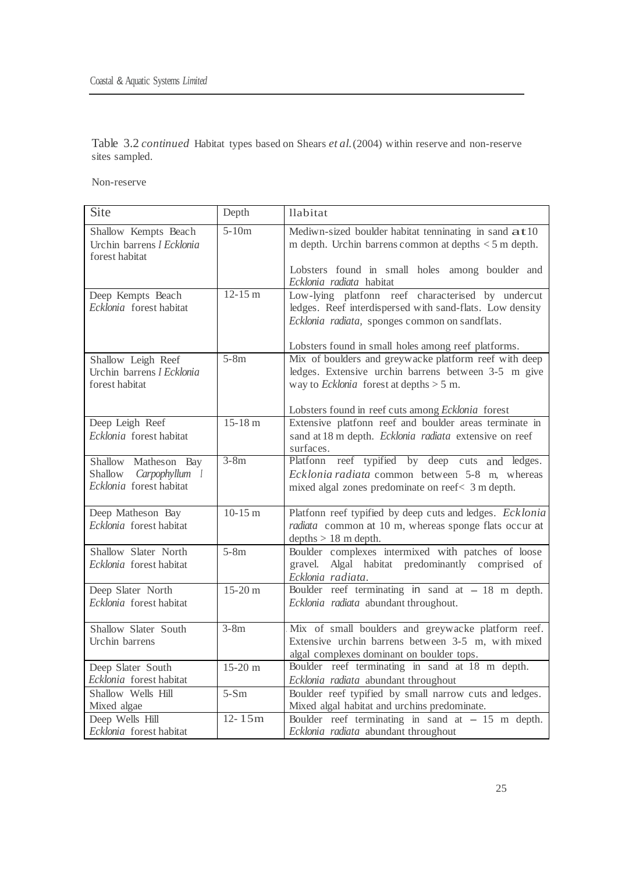Table 3.2 *continued* Habitat types based on Shears *et al.*(2004) within reserve and non-reserve sites sampled.

Non-reserve

| Site                                                                         | Depth      | llabitat                                                                                                                                                                                                                |
|------------------------------------------------------------------------------|------------|-------------------------------------------------------------------------------------------------------------------------------------------------------------------------------------------------------------------------|
| Shallow Kempts Beach<br>Urchin barrens I Ecklonia<br>forest habitat          | $5-10m$    | Mediwn-sized boulder habitat tenninating in sand at 10<br>m depth. Urchin barrens common at depths $<$ 5 m depth.                                                                                                       |
|                                                                              |            | Lobsters found in small holes among boulder and<br>Ecklonia radiata habitat                                                                                                                                             |
| Deep Kempts Beach<br>Ecklonia forest habitat                                 | $12-15 m$  | Low-lying platfonn reef characterised by undercut<br>ledges. Reef interdispersed with sand-flats. Low density<br>Ecklonia radiata, sponges common on sandflats.                                                         |
| Shallow Leigh Reef<br>Urchin barrens I Ecklonia<br>forest habitat            | $5-8m$     | Lobsters found in small holes among reef platforms.<br>Mix of boulders and greywacke platform reef with deep<br>ledges. Extensive urchin barrens between 3-5 m give<br>way to <i>Ecklonia</i> forest at depths $> 5$ m. |
|                                                                              |            | Lobsters found in reef cuts among Ecklonia forest                                                                                                                                                                       |
| Deep Leigh Reef<br>Ecklonia forest habitat                                   | $15-18 m$  | Extensive platfonn reef and boulder areas terminate in<br>sand at 18 m depth. Ecklonia radiata extensive on reef<br>surfaces.                                                                                           |
| Shallow Matheson Bay<br>Shallow<br>Carpophyllum 1<br>Ecklonia forest habitat | $3-8m$     | Platfonn reef typified by deep cuts and ledges.<br>Ecklonia radiata common between 5-8 m, whereas<br>mixed algal zones predominate on reef< 3 m depth.                                                                  |
| Deep Matheson Bay<br>Ecklonia forest habitat                                 | $10-15$ m  | Platfonn reef typified by deep cuts and ledges. Ecklonia<br>radiata common at 10 m, whereas sponge flats occur at<br>depths $> 18$ m depth.                                                                             |
| Shallow Slater North<br>Ecklonia forest habitat                              | $5-8m$     | Boulder complexes intermixed with patches of loose<br>gravel. Algal habitat predominantly comprised of<br>Ecklonia radiata.                                                                                             |
| Deep Slater North<br>Ecklonia forest habitat                                 | $15-20 m$  | Boulder reef terminating in sand at $-18$ m depth.<br>Ecklonia radiata abundant throughout.                                                                                                                             |
| Shallow Slater South<br>Urchin barrens                                       | $3-8m$     | Mix of small boulders and greywacke platform reef.<br>Extensive urchin barrens between 3-5 m, with mixed<br>algal complexes dominant on boulder tops.                                                                   |
| Deep Slater South<br>Ecklonia forest habitat                                 | $15-20$ m  | Boulder reef terminating in sand at 18 m depth.<br>Ecklonia radiata abundant throughout                                                                                                                                 |
| Shallow Wells Hill<br>Mixed algae                                            | $5-Sm$     | Boulder reef typified by small narrow cuts and ledges.<br>Mixed algal habitat and urchins predominate.                                                                                                                  |
| Deep Wells Hill<br>Ecklonia forest habitat                                   | $12 - 15m$ | Boulder reef terminating in sand at $-15$ m depth.<br>Ecklonia radiata abundant throughout                                                                                                                              |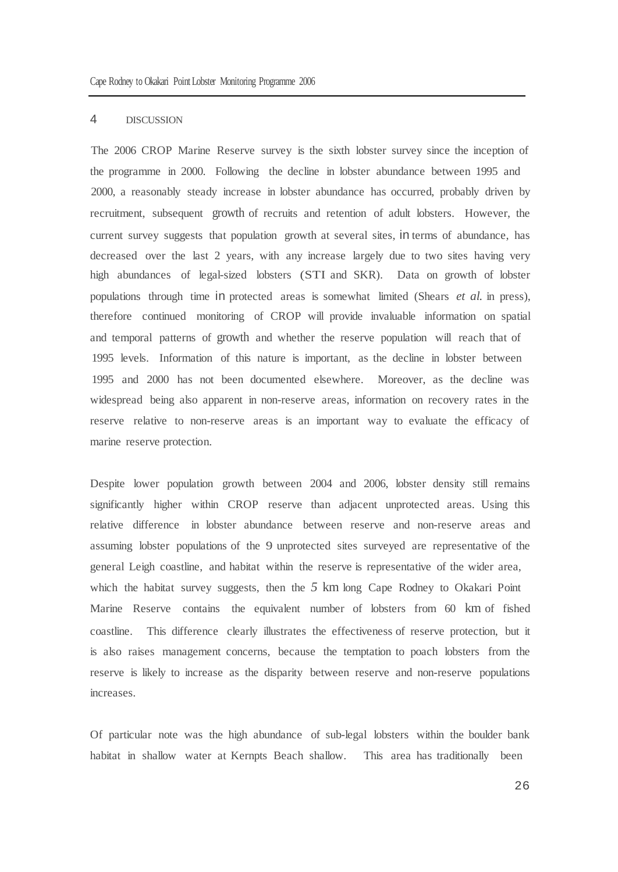#### 4 DISCUSSION

The 2006 CROP Marine Reserve survey is the sixth lobster survey since the inception of the programme in 2000. Following the decline in lobster abundance between 1995 and 2000, a reasonably steady increase in lobster abundance has occurred, probably driven by recruitment, subsequent growth of recruits and retention of adult lobsters. However, the current survey suggests that population growth at several sites, in terms of abundance, has decreased over the last 2 years, with any increase largely due to two sites having very high abundances of legal-sized lobsters (STI and SKR). Data on growth of lobster populations through time in protected areas is somewhat limited (Shears *et al.* in press), therefore continued monitoring of CROP will provide invaluable information on spatial and temporal patterns of growth and whether the reserve population will reach that of 1995 levels. Information of this nature is important, as the decline in lobster between 1995 and 2000 has not been documented elsewhere. Moreover, as the decline was widespread being also apparent in non-reserve areas, information on recovery rates in the reserve relative to non-reserve areas is an important way to evaluate the efficacy of marine reserve protection.

Despite lower population growth between 2004 and 2006, lobster density still remains significantly higher within CROP reserve than adjacent unprotected areas. Using this relative difference in lobster abundance between reserve and non-reserve areas and assuming lobster populations of the 9 unprotected sites surveyed are representative of the general Leigh coastline, and habitat within the reserve is representative of the wider area, which the habitat survey suggests, then the 5 km long Cape Rodney to Okakari Point Marine Reserve contains the equivalent number of lobsters from 60 km of fished coastline. This difference clearly illustrates the effectiveness of reserve protection, but it is also raises management concerns, because the temptation to poach lobsters from the reserve is likely to increase as the disparity between reserve and non-reserve populations increases.

Of particular note was the high abundance of sub-legal lobsters within the boulder bank habitat in shallow water at Kernpts Beach shallow. This area has traditionally been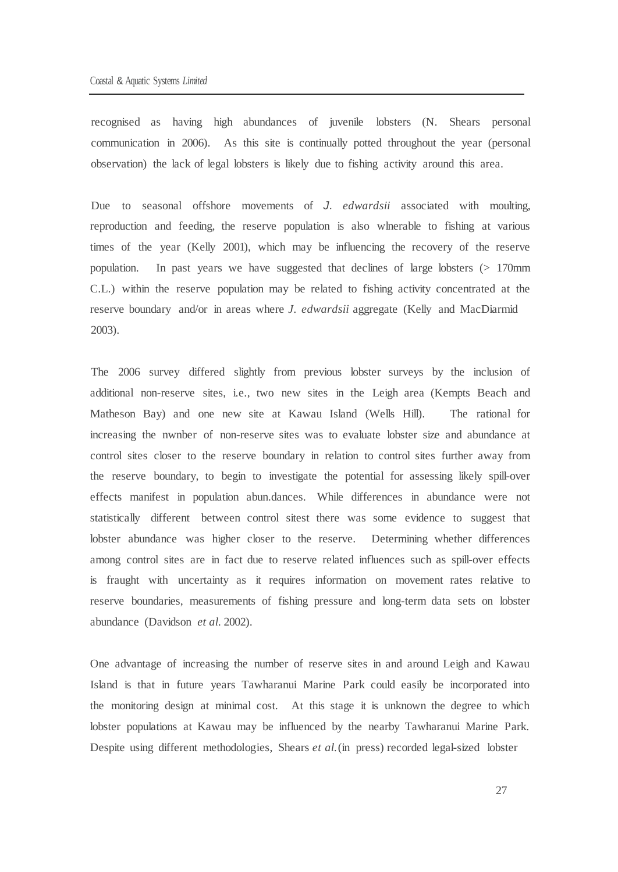recognised as having high abundances of juvenile lobsters (N. Shears personal communication in 2006). As this site is continually potted throughout the year (personal observation) the lack of legal lobsters is likely due to fishing activity around this area.

Due to seasonal offshore movements of *J. edwardsii* associated with moulting, reproduction and feeding, the reserve population is also wlnerable to fishing at various times of the year (Kelly 2001), which may be influencing the recovery of the reserve population. In past years we have suggested that declines of large lobsters  $(> 170$ mm C.L.) within the reserve population may be related to fishing activity concentrated at the reserve boundary and/or in areas where *J. edwardsii* aggregate (Kelly and MacDiarmid 2003).

The 2006 survey differed slightly from previous lobster surveys by the inclusion of additional non-reserve sites, i.e., two new sites in the Leigh area (Kempts Beach and Matheson Bay) and one new site at Kawau Island (Wells Hill). The rational for increasing the nwnber of non-reserve sites was to evaluate lobster size and abundance at control sites closer to the reserve boundary in relation to control sites further away from the reserve boundary, to begin to investigate the potential for assessing likely spill-over effects manifest in population abun.dances. While differences in abundance were not statistically different between control sitest there was some evidence to suggest that lobster abundance was higher closer to the reserve. Determining whether differences among control sites are in fact due to reserve related influences such as spill-over effects is fraught with uncertainty as it requires information on movement rates relative to reserve boundaries, measurements of fishing pressure and long-term data sets on lobster abundance (Davidson *et al.* 2002).

One advantage of increasing the number of reserve sites in and around Leigh and Kawau Island is that in future years Tawharanui Marine Park could easily be incorporated into the monitoring design at minimal cost. At this stage it is unknown the degree to which lobster populations at Kawau may be influenced by the nearby Tawharanui Marine Park. Despite using different methodologies, Shears *et al.*(in press) recorded legal-sized lobster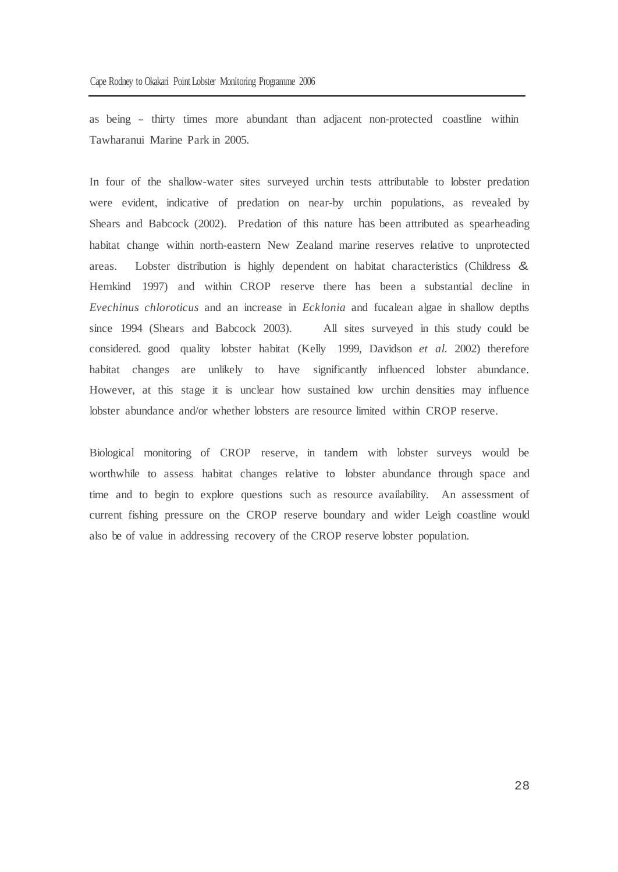as being -- thirty times more abundant than adjacent non-protected coastline within Tawharanui Marine Park in 2005.

In four of the shallow-water sites surveyed urchin tests attributable to lobster predation were evident, indicative of predation on near-by urchin populations, as revealed by Shears and Babcock (2002). Predation of this nature has been attributed as spearheading habitat change within north-eastern New Zealand marine reserves relative to unprotected areas. Lobster distribution is highly dependent on habitat characteristics (Childress & Hemkind 1997) and within CROP reserve there has been a substantial decline in *Evechinus chloroticus* and an increase in *Ecklonia* and fucalean algae in shallow depths since 1994 (Shears and Babcock 2003). All sites surveyed in this study could be considered. good quality lobster habitat (Kelly 1999, Davidson *et al.* 2002) therefore habitat changes are unlikely to have significantly influenced lobster abundance. However, at this stage it is unclear how sustained low urchin densities may influence lobster abundance and/or whether lobsters are resource limited within CROP reserve.

Biological monitoring of CROP reserve, in tandem with lobster surveys would be worthwhile to assess habitat changes relative to lobster abundance through space and time and to begin to explore questions such as resource availability. An assessment of current fishing pressure on the CROP reserve boundary and wider Leigh coastline would also be of value in addressing recovery of the CROP reserve lobster population.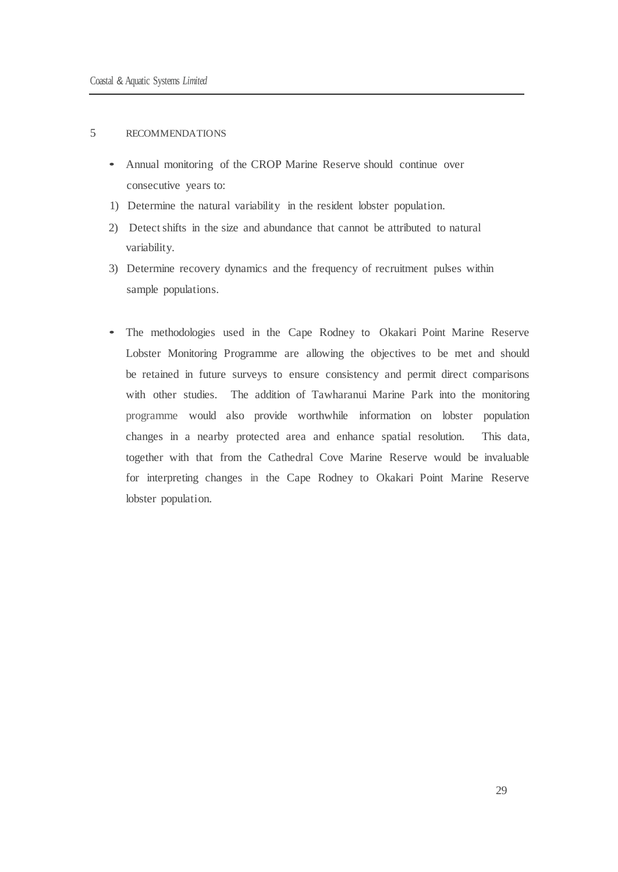### 5 RECOMMENDATIONS

- Annual monitoring of the CROP Marine Reserve should continue over consecutive years to:
- 1) Determine the natural variability in the resident lobster population.
- 2) Detectshifts in the size and abundance that cannot be attributed to natural variability.
- 3) Determine recovery dynamics and the frequency of recruitment pulses within sample populations.
- The methodologies used in the Cape Rodney to Okakari Point Marine Reserve Lobster Monitoring Programme are allowing the objectives to be met and should be retained in future surveys to ensure consistency and permit direct comparisons with other studies. The addition of Tawharanui Marine Park into the monitoring programme would also provide worthwhile information on lobster population changes in a nearby protected area and enhance spatial resolution. This data, together with that from the Cathedral Cove Marine Reserve would be invaluable for interpreting changes in the Cape Rodney to Okakari Point Marine Reserve lobster population.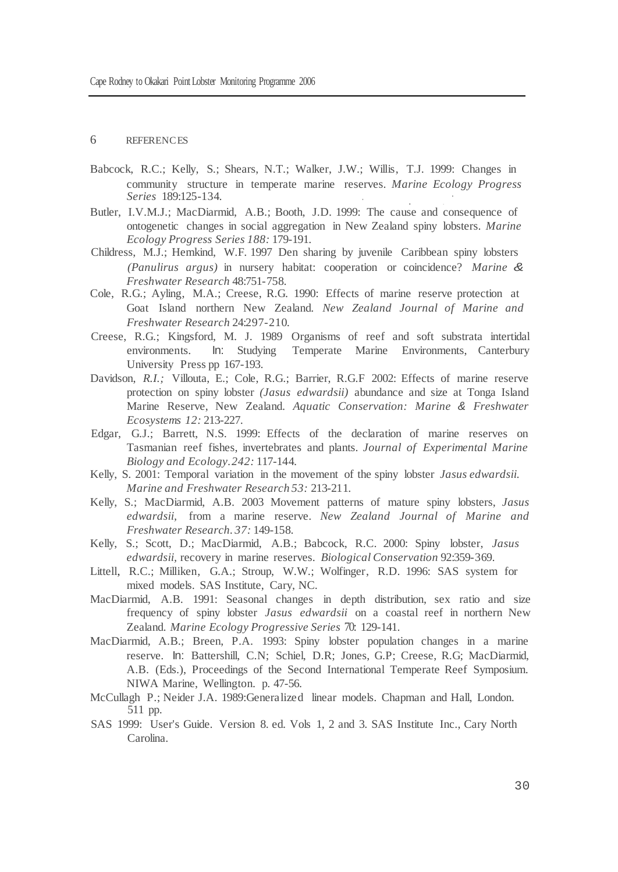#### 6 REFERENCES

- Babcock, R.C.; Kelly, S.; Shears, N.T.; Walker, J.W.; Willis, T.J. 1999: Changes in community structure in temperate marine reserves. *Marine Ecology Progress Series* 189:125-134.
- Butler, I.V.M.J.; MacDiarmid, A.B.; Booth, J.D. 1999: The cause and consequence of ontogenetic changes in social aggregation in New Zealand spiny lobsters. *Marine Ecology Progress Series 188:* 179-191.
- Childress, M.J.; Hemkind, W.F. 1997 Den sharing by juvenile Caribbean spiny lobsters *(Panulirus argus)* in nursery habitat: cooperation or coincidence? *Marine & Freshwater Research* 48:751-758.
- Cole, R.G.; Ayling, M.A.; Creese, R.G. 1990: Effects of marine reserve protection at Goat Island northern New Zealand. *New Zealand Journal of Marine and Freshwater Research* 24:297-210.
- Creese, R.G.; Kingsford, M. J. 1989 Organisms of reef and soft substrata intertidal environments. In: Studying Temperate Marine Environments, Canterbury University Press pp 167-193.
- Davidson, R.I.; Villouta, E.; Cole, R.G.; Barrier, R.G.F 2002: Effects of marine reserve protection on spiny lobster *(Jasus edwardsii)* abundance and size at Tonga Island Marine Reserve, New Zealand. *Aquatic Conservation: Marine & Freshwater Ecosystems 12:* 213-227.
- Edgar, G.J.; Barrett, N.S. 1999: Effects of the declaration of marine reserves on Tasmanian reef fishes, invertebrates and plants. *Journal of Experimental Marine Biology and Ecology.242:* 117-144.
- Kelly, S. 2001: Temporal variation in the movement of the spiny lobster *Jasus edwardsii. Marine and Freshwater Research 53:* 213-211.
- Kelly, S.; MacDiarmid, A.B. 2003 Movement patterns of mature spiny lobsters, *Jasus edwardsii,* from a marine reserve. *New Zealand Journal of Marine and Freshwater Research. 37:* 149-158.
- Kelly, S.; Scott, D.; MacDiarmid, A.B.; Babcock, R.C. 2000: Spiny lobster, *Jasus edwardsii,* recovery in marine reserves. *Biological Conservation* 92:359-369.
- Littell, R.C.; Milliken, G.A.; Stroup, W.W.; Wolfinger, R.D. 1996: SAS system for mixed models. SAS Institute, Cary, NC.
- MacDiarmid, A.B. 1991: Seasonal changes in depth distribution, sex ratio and size frequency of spiny lobster *Jasus edwardsii* on a coastal reef in northern New Zealand. *Marine Ecology Progressive Series* 70: 129-141.
- MacDiarmid, A.B.; Breen, P.A. 1993: Spiny lobster population changes in a marine reserve. In: Battershill, C.N; Schiel, D.R; Jones, G.P; Creese, R.G; MacDiarmid, A.B. (Eds.), Proceedings of the Second International Temperate Reef Symposium. NIWA Marine, Wellington. p. 47-56.
- McCullagh P.; Neider J.A. 1989:Generalized linear models. Chapman and Hall, London. 511 pp.
- SAS 1999: User's Guide. Version 8. ed. Vols 1, 2 and 3. SAS Institute Inc., Cary North Carolina.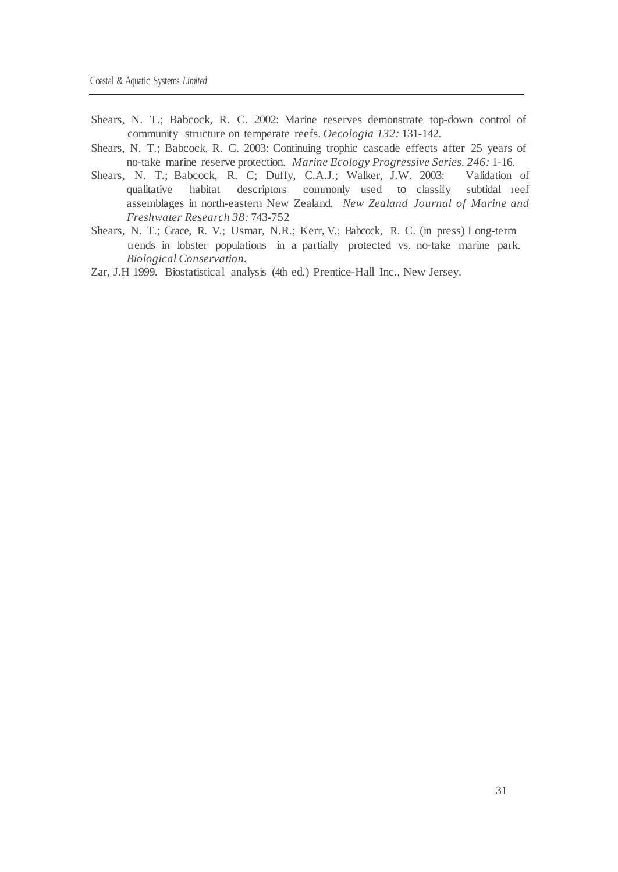- Shears, N. T.; Babcock, R. C. 2002: Marine reserves demonstrate top-down control of community structure on temperate reefs. *Oecologia 132:* 131-142.
- Shears, N. T.; Babcock, R. C. 2003: Continuing trophic cascade effects after 25 years of no-take marine reserve protection. *Marine Ecology Progressive Series. 246:* 1-16.
- Shears, N. T.; Babcock, R. C; Duffy, C.A.J.; Walker, J.W. 2003: qualitative habitat descriptors commonly used to classify subtidal reef assemblages in north-eastern New Zealand. *New Zealand Journal of Marine and Freshwater Research 38:* 743-752
- Shears, N. T.; Grace, R. V.; Usmar, N.R.; Kerr, V.; Babcock, R. C. (in press) Long-term trends in lobster populations in a partially protected vs. no-take marine park. *Biological Conservation.*
- Zar, J.H 1999. Biostatistical analysis (4th ed.) Prentice-Hall Inc., New Jersey.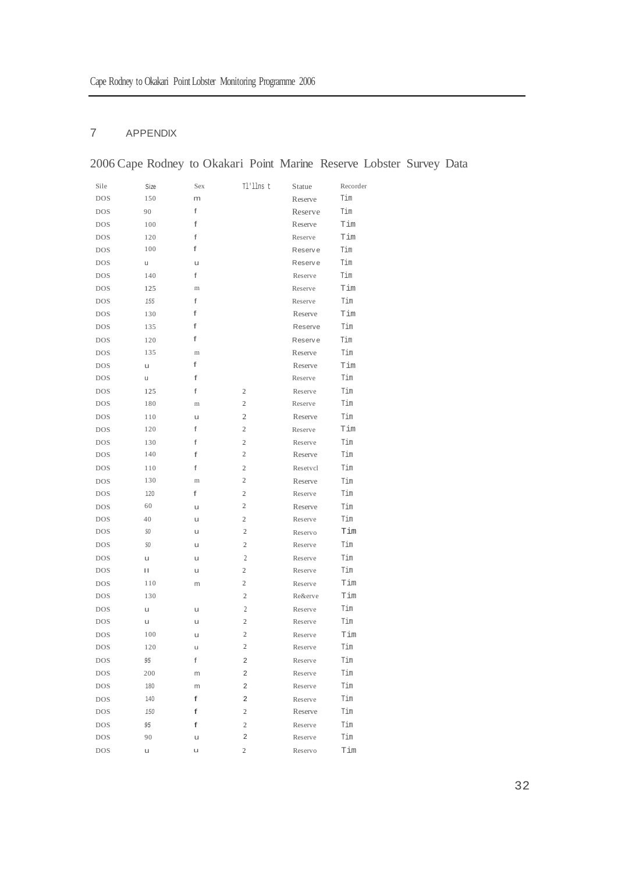# 7 APPENDIX

# 2006 Cape Rodney to Okakari Point Marine Reserve Lobster Survey Data

| Sile       | Size | Sex     | Tl'llns t               | Statue   | Recorder |
|------------|------|---------|-------------------------|----------|----------|
| <b>DOS</b> | 150  | m       |                         | Reserve  | Tim      |
| <b>DOS</b> | 90   | f       |                         | Reserve  | Tim      |
| <b>DOS</b> | 100  | f       |                         | Reserve  | Tim      |
| <b>DOS</b> | 120  | f       |                         | Reserve  | Tim      |
| <b>DOS</b> | 100  | f       |                         | Reserve  | Tim      |
| <b>DOS</b> | u    | u       |                         | Reserve  | Tim      |
| <b>DOS</b> | 140  | f       |                         | Reserve  | Tim      |
| <b>DOS</b> | 125  | m       |                         | Reserve  | Tim      |
| <b>DOS</b> | 155  | f       |                         | Reserve  | Tim      |
| <b>DOS</b> | 130  | f       |                         | Reserve  | Tim      |
| <b>DOS</b> | 135  | f       |                         | Reserve  | Tim      |
| <b>DOS</b> | 120  | f       |                         | Reserve  | Tim      |
| <b>DOS</b> | 135  | $\rm m$ |                         | Reserve  | Tim      |
| <b>DOS</b> | u    | f       |                         | Reserve  | Tim      |
| <b>DOS</b> | u    | f       |                         | Reserve  | Tim      |
| <b>DOS</b> | 125  | f       | 2                       | Reserve  | Tim      |
| <b>DOS</b> | 180  | m       | $\overline{c}$          | Reserve  | Tim      |
| <b>DOS</b> | 110  | u       | $\mathfrak{2}$          | Reserve  | Tim      |
| <b>DOS</b> | 120  | f       | $\overline{c}$          | Reserve  | Tim      |
| <b>DOS</b> | 130  | f       | $\overline{c}$          | Reserve  | Tim      |
| <b>DOS</b> | 140  | f       | $\overline{c}$          | Reserve  | Tim      |
| <b>DOS</b> | 110  | f       | $\overline{c}$          | Resetvcl | Tim      |
| <b>DOS</b> | 130  | m       | $\overline{c}$          | Reserve  | Tim      |
| <b>DOS</b> | 120  | f       | $\overline{c}$          | Reserve  | Tim      |
| <b>DOS</b> | 60   | u       | 2                       | Reserve  | Tim      |
| <b>DOS</b> | 40   | u       | 2                       | Reserve  | Tim      |
| <b>DOS</b> | SO.  | u       | $\overline{c}$          | Reservo  | Tim      |
| <b>DOS</b> | SO.  | u       | $\overline{c}$          | Reserve  | Tim      |
| <b>DOS</b> | u    | u       | $\mathfrak{2}$          | Reserve  | Tim      |
| <b>DOS</b> | П    | u       | 2                       | Reserve  | Tim      |
| <b>DOS</b> | 110  | m       | $\overline{c}$          | Reserve  | Tim      |
| <b>DOS</b> | 130  |         | $\overline{c}$          | Re&erve  | Tim      |
| <b>DOS</b> | u    | u       | 2                       | Reserve  | Tim      |
| <b>DOS</b> | u    | u       | $\overline{c}$          | Reserve  | Tim      |
| <b>DOS</b> | 100  | u       | 2                       | Reserve  | Tim      |
| DOS        | 120  | u       | $\overline{c}$          | Reserve  | Tim      |
| <b>DOS</b> | 95   | f       | 2                       | Reserve  | Tim      |
| DOS        | 200  | m       | $\overline{2}$          | Reserve  | Tim      |
| <b>DOS</b> | 180  | m       | $\overline{\mathbf{c}}$ | Reserve  | Tim      |
| <b>DOS</b> | 140  | f       | 2                       | Reserve  | Tim      |
| <b>DOS</b> | 150  | f       | $\overline{2}$          | Reserve  | Tim      |
| <b>DOS</b> | 95   | f       | $\overline{2}$          | Reserve  | Tim      |
| <b>DOS</b> | 90   | u       | $\overline{2}$          | Reserve  | Tim      |
| <b>DOS</b> | u    | u       | $\overline{c}$          | Reservo  | Tim      |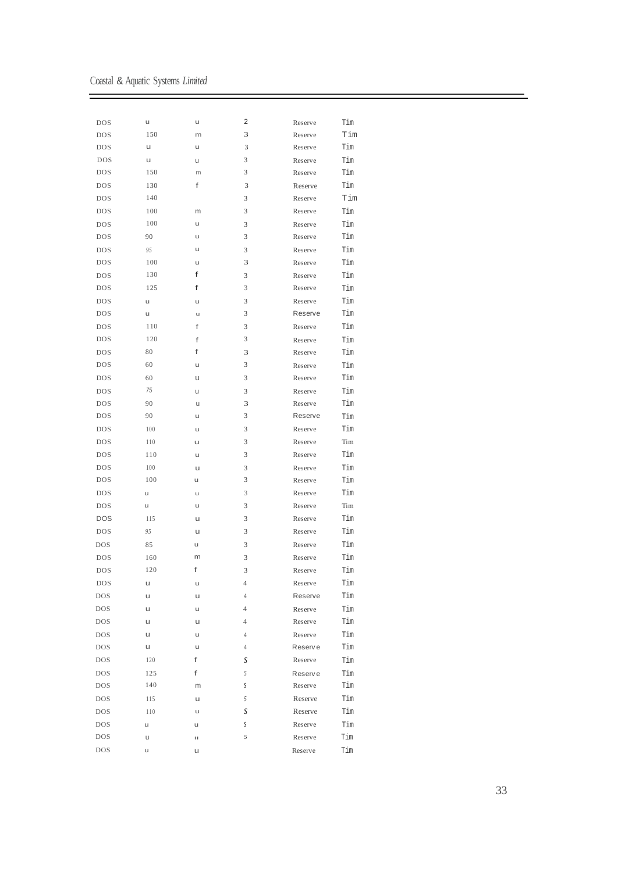Coastal & Aquatic Systems *Limited*

 $\equiv$ 

| <b>DOS</b> | u   | u      | 2              | Reserve            | Tim |
|------------|-----|--------|----------------|--------------------|-----|
| <b>DOS</b> | 150 | m      | 3              | Reserve            | Tim |
| <b>DOS</b> | u   | u      | 3              | Reserve            | Tim |
| <b>DOS</b> | u   | u      | 3              | Reserve            | Tim |
| <b>DOS</b> | 150 | m      | 3              | Reserve            | Tim |
| <b>DOS</b> | 130 | f      | 3              | Reserve            | Tim |
| <b>DOS</b> | 140 |        | 3              | Reserve            | Tim |
| <b>DOS</b> | 100 | m      | 3              | Reserve            | Tim |
| <b>DOS</b> | 100 | u      | 3              | Reserve            | Tim |
| <b>DOS</b> | 90  | u      | 3              | Reserve            | Tim |
| <b>DOS</b> | 95  | u      | 3              | Reserve            | Tim |
| <b>DOS</b> | 100 | u      | 3              | Reserve            | Tim |
| <b>DOS</b> | 130 | f      | 3              | Reserve            | Tim |
| <b>DOS</b> | 125 | f      | 3              | Reserve            | Tim |
| <b>DOS</b> | u   | u      | 3              | Reserve            | Tim |
| <b>DOS</b> | u   | u      | 3              | Reserve            | Tim |
| <b>DOS</b> | 110 | f      | 3              | Reserve            | Tim |
| <b>DOS</b> | 120 | f      | 3              | Reserve            | Tim |
| <b>DOS</b> | 80  | f      | 3              | Reserve            | Tim |
| <b>DOS</b> | 60  | u      | 3              | Reserve            | Tim |
| <b>DOS</b> | 60  | u      | 3              | Reserve            | Tim |
| <b>DOS</b> | 75  | u      | 3              | Reserve            | Tim |
| <b>DOS</b> | 90  | u      | 3              | Reserve            | Tim |
| <b>DOS</b> | 90  | u      | 3              | Reserve            | Tim |
| <b>DOS</b> | 100 | u      | 3              | Reserve            | Tim |
| <b>DOS</b> | 110 | u      | 3              | Reserve            | Tim |
| <b>DOS</b> | 110 | u      | 3              | Reserve            | Tim |
| <b>DOS</b> | 100 | u      | 3              | Reserve            | Tim |
| <b>DOS</b> | 100 | u      | 3              | Reserve            | Tim |
| <b>DOS</b> | u   | u      | 3              | Reserve            | Tim |
| <b>DOS</b> | u   | u      | 3              | Reserve            | Tim |
| <b>DOS</b> | 115 | U      | 3              | Reserve            | Tim |
| <b>DOS</b> | 95  | u      | 3              | Reserve            | Tim |
| <b>DOS</b> | 85  | u      | 3              | Reserve            | Tim |
| <b>DOS</b> | 160 | m      | 3              | Reserve            | Tim |
| <b>DOS</b> | 120 | f      | 3              | Reserve            | Tim |
| <b>DOS</b> | u   | u      | $\overline{4}$ | Reserve            | Tim |
| <b>DOS</b> | u   |        | $\overline{4}$ | Reserve            | Tim |
| <b>DOS</b> | u   | u<br>u | 4              |                    | Tim |
| <b>DOS</b> | u   |        | $\overline{4}$ | Reserve<br>Reserve | Tim |
|            | u   | u<br>u |                | Reserve            | Tim |
| <b>DOS</b> | u   | u      | $\overline{4}$ | <b>Reserve</b>     |     |
| <b>DOS</b> |     | f      | $\overline{4}$ |                    | Tim |
| <b>DOS</b> | 120 |        | S              | Reserve            | Tim |
| <b>DOS</b> | 125 | f      | 5              | Reserve            | Tim |
| <b>DOS</b> | 140 | m      | S              | Reserve            | Tim |
| <b>DOS</b> | 115 | u      | 5              | Reserve            | Tim |
| <b>DOS</b> | 110 | u      | S              | Reserve            | Tim |
| <b>DOS</b> | u   | u      | S              | Reserve            | Tim |
| <b>DOS</b> | u   | П      | 5              | Reserve            | Tim |
| <b>DOS</b> | u   | u      |                | Reserve            | Tim |

۳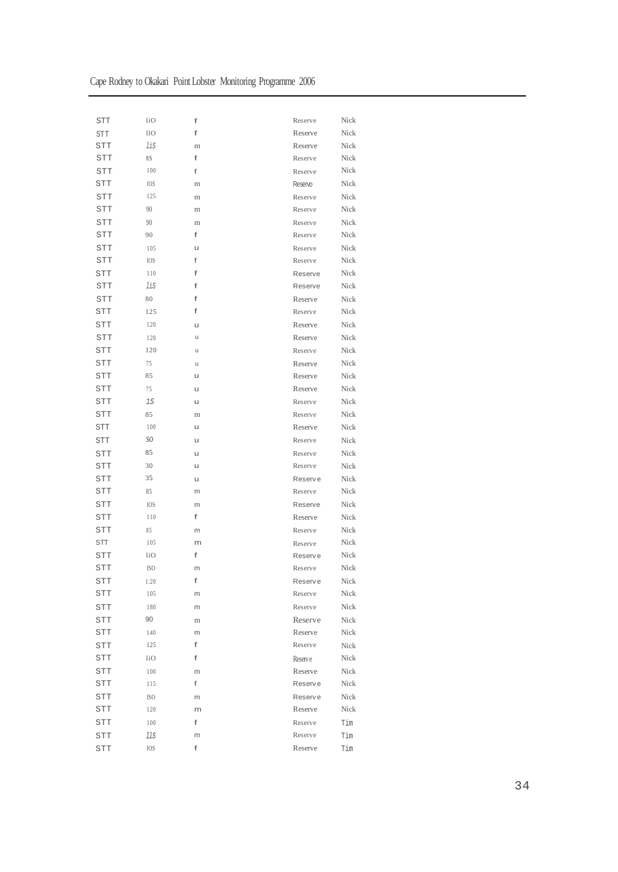| Cape Rodney to Okakari Point Lobster Monitoring Programme 2006 |  |  |
|----------------------------------------------------------------|--|--|
|                                                                |  |  |

| <b>STT</b> | liO             | f       | Reserve | Nick |
|------------|-----------------|---------|---------|------|
| <b>STT</b> | 11 <sub>O</sub> | f       | Reserve | Nick |
| STT        | lis             | m       | Reserve | Nick |
| STT        | 8S              | f       | Reserve | Nick |
| STT        | 100             | f       | Reserve | Nick |
| STT        | lOS             | $\rm m$ | Reservo | Nick |
| <b>STT</b> | 125             | m       | Reserve | Nick |
| <b>STT</b> | 90              | m       | Reserve | Nick |
| <b>STT</b> | 90              | $\rm m$ | Reserve | Nick |
| STT        | 90              | f       | Reserve | Nick |
| STT        | 105             | u       | Reserve | Nick |
| STT        | 10S             | f       | Reserve | Nick |
| STT        | 110             | f       | Reserve | Nick |
| STT        | lis             | f       | Reserve | Nick |
| <b>STT</b> | 80              | f       | Reserve | Nick |
| STT        | 125             | f       | Reserve | Nick |
| <b>STT</b> | 120             | u       | Reserve | Nick |
| <b>STT</b> | 120             | u       | Reserve | Nick |
| <b>STT</b> | 120             | u       | Reserve | Nick |
| STT        | 75              | u       | Reserve | Nick |
| <b>STT</b> | 85              | u       | Reserve | Nick |
| STT        | 75              | u       | Reserve | Nick |
|            |                 |         |         | Nick |
| STT        | $1S$            | u       | Reserve |      |
| STT        | 85              | m       | Reserve | Nick |
| STT        | 100             | u       | Reserve | Nick |
| STT        | SO              | u       | Reserve | Nick |
| <b>STT</b> | 85              | u       | Reserve | Nick |
| <b>STT</b> | 30              | u       | Reserve | Nick |
| STT        | 35              | u       | Reserve | Nick |
| STT        | 85              | m       | Reserve | Nick |
| STT        | 10S             | m       | Reserve | Nick |
| <b>STT</b> | 110             | f       | Reserve | Nick |
| STT        | 85              | m       | Reserve | Nick |
| STT        | 105             | m       | Reserve | Nick |
| STT        | 110             | f       | Reserve | Nick |
| <b>STT</b> | ISO.            | m       | Reserve | Nick |
| STT        | 1:20            | f       | Reserve | Nick |
| STT        | 105             | m       | Reserve | Nick |
| STT        | 180             | m       | Reserve | Nick |
| STT        | 90              | $\rm m$ | Reserve | Nick |
| STT        | 140             | m       | Reserve | Nick |
| <b>STT</b> | 125             | f       | Reserve | Nick |
| <b>STT</b> | liO             | f       | Reserve | Nick |
| STT        | 100             | m       | Reserve | Nick |
| <b>STT</b> | 115             | f       | Reserve | Nick |
| STT        | ISO.            | m       | Reserve | Nick |
| STT        | 120             | m       | Reserve | Nick |
| STT        | 100             | f       | Reserve | Tim  |
| STT        | llS             | m       | Reserve | Tim  |
| <b>STT</b> | <b>IOS</b>      | f       | Reserve | Tim  |
|            |                 |         |         |      |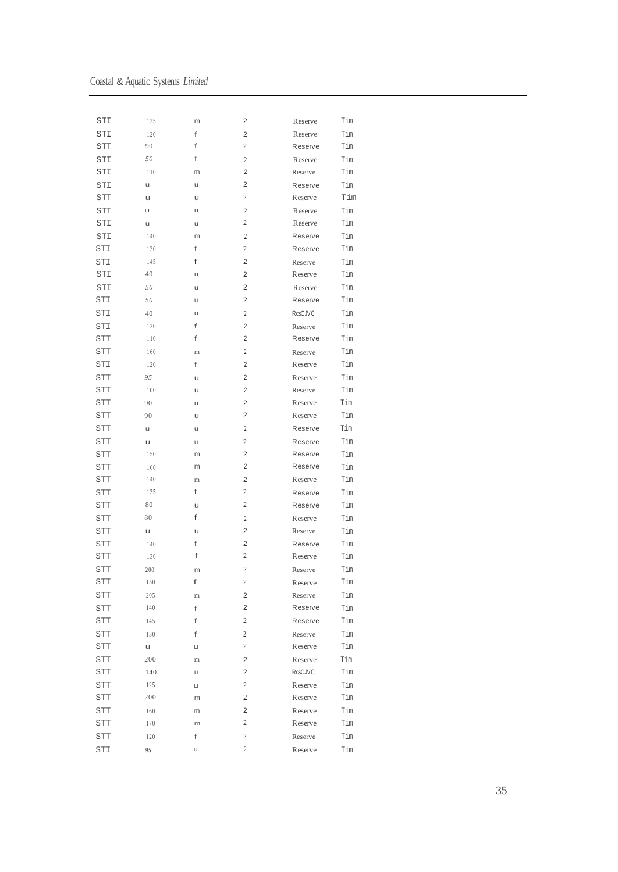| STI        | 125      | m       | 2                       | Reserve        | Tim |
|------------|----------|---------|-------------------------|----------------|-----|
| STI        | 120      | f       | 2                       | Reserve        | Tim |
| STT        | 90       | f       | 2                       | Reserve        | Tim |
| STI        | 50       | f       | 2                       | Reserve        | Tim |
| STI        | 110      | m       | 2                       | Reserve        | Tim |
| STI        | u        | u       | 2                       | Reserve        | Tim |
| STT        | u        | u       | $\mathbf{2}$            | Reserve        | Tim |
| STT        | u        | u       | 2                       | Reserve        | Tim |
| STI        | u        | u       | $\mathbf{2}$            | Reserve        | Tim |
| STI        | 140      | m       | $\overline{c}$          | Reserve        | Tim |
| STI        | 130      | f       | $\mathbf{2}$            | Reserve        | Tim |
| STI        | 145      | f       | 2                       | Reserve        | Tim |
| STI        | 40       | u       | 2                       | Reserve        | Tim |
| STI        | 50       | u       | 2                       | Reserve        | Tim |
| STI        | 50       | u       | 2                       | Reserve        | Tim |
| STI        | 40       | u       | $\overline{c}$          | <b>RcsCJVC</b> | Tim |
| STI        | 120      | f       | 2                       | Reserve        | Tim |
| <b>STT</b> | 110      | f       | 2                       | Reserve        | Tim |
| STT        | 160      | m       | $\overline{c}$          | Reserve        | Tim |
| STI        | 120      | f       | 2                       | Reserve        | Tim |
| <b>STT</b> | 95       | u       | 2                       | Reserve        | Tim |
| <b>STT</b> | 100      | u       | 2                       | Reserve        | Tim |
| STT        | 90       | u       | 2                       | Reserve        | Tim |
| <b>STT</b> | 90       | u       | 2                       | Reserve        | Tim |
| STT        | u        | u       | $\overline{c}$          | Reserve        | Tim |
| <b>STT</b> | u        | U       | 2                       | Reserve        | Tim |
| <b>STT</b> | 150      | m       | 2                       | Reserve        | Tim |
| STT        | 160      | m       | $\overline{2}$          | Reserve        | Tim |
| STT        | 140      | m       | 2                       | Reserve        | Tim |
| STT        | 135      | f       | $\boldsymbol{2}$        | Reserve        | Tim |
| STT        | 80       | u       | $\boldsymbol{2}$        | Reserve        | Tim |
| STT        | 80       | f       | $\overline{2}$          | Reserve        | Tim |
| <b>STT</b> | u        | u       | 2                       | Reserve        | Tim |
| STT        | 140      | f       | 2                       | Reserve        | Tim |
| STT        | 130      | f       | 2                       | Reserve        | Tim |
| STT        | 200      | m       | $\overline{c}$          | Reserve        | Tim |
| STT        | 150      | f       | 2                       | Reserve        | Tim |
| STT        | 205      | $\rm m$ | 2                       | Reserve        | Tim |
| STT        | 140      | f       | $\overline{\mathbf{c}}$ | Reserve        | Tim |
| STT        | 145      | f       | $\overline{c}$          | Reserve        | Tim |
| STT        |          | f       | 2                       |                | Tim |
|            | 130      |         | $\overline{c}$          | Reserve        | Tim |
| STT        | u<br>200 | u       |                         | Reserve        |     |
| STT        |          | $\rm m$ | 2                       | Reserve        | Tim |
| STT        | 140      | u       | $\overline{\mathbf{c}}$ | RcsCJVC        | Tim |
| STT        | 125      | u       | $\overline{c}$          | Reserve        | Tim |
| STT        | 200      | m       | $\mathbf{2}$            | Reserve        | Tim |
| STT        | 160      | m       | $\overline{\mathbf{c}}$ | Reserve        | Tim |
| STT        | 170      | m       | 2                       | Reserve        | Tim |
| STT        | 120      | f       | 2                       | Reserve        | Tim |
| STI        | 95       | u       | $\overline{c}$          | Reserve        | Tim |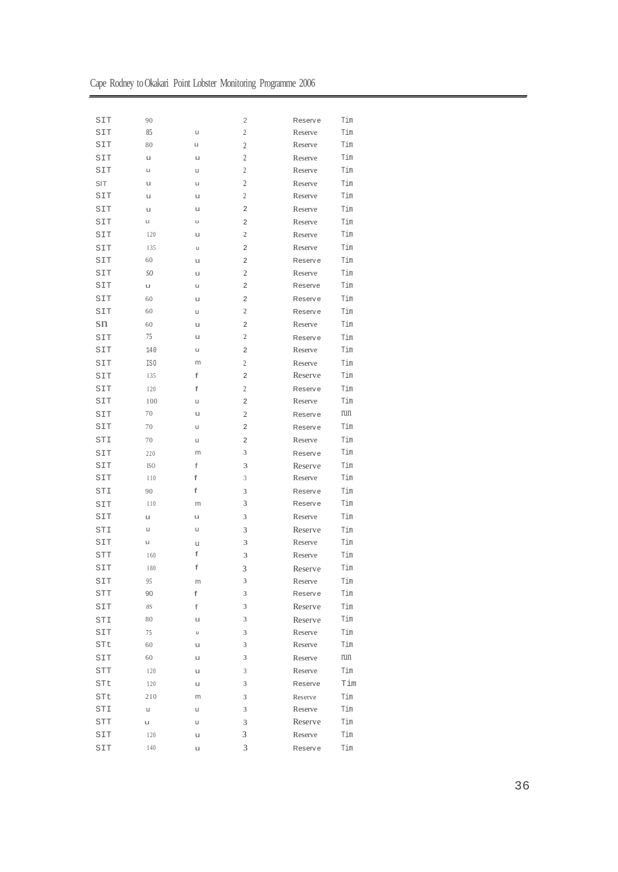|  | Cape Rodney to Okakari Point Lobster Monitoring Programme 2006 |  |  |
|--|----------------------------------------------------------------|--|--|
|  |                                                                |  |  |

| SIT            | 90             |   | 2              | Reserve        | Tim |
|----------------|----------------|---|----------------|----------------|-----|
| SIT            | 85             | u | $\overline{c}$ | Reserve        | Tim |
| SIT            | 80             | u | $\overline{2}$ | Reserve        | Tim |
| SIT            | u              | u | 2              | Reserve        | Tim |
| SIT            | u              | u | $\overline{c}$ | Reserve        | Tim |
| SIT            | u              | u | 2              | Reserve        | Tim |
| SIT            | u              | u | $\overline{2}$ | Reserve        | Tim |
| SIT            | u              | u | $\overline{2}$ | Reserve        | Tim |
| SIT            | u              | u | 2              | Reserve        | Tim |
| SIT            | 120            | u | 2              | Reserve        | Tim |
| SIT            | 135            | u | 2              | Reserve        | Tim |
| SIT            | 60             | u | $\overline{2}$ | Reserve        | Tim |
| SIT            | SO.            | u | 2              | Reserve        | Tim |
| SIT            | u              | u | 2              | Reserve        | Tim |
| SIT            | 60             | u | $\overline{2}$ | Reserve        | Tim |
| SIT            | 60             | u | $\overline{c}$ | <b>Reserve</b> | Tim |
| sn             | 60             | u | $\overline{2}$ | Reserve        | Tim |
| SIT            | 75             | u | $\overline{c}$ | Reserve        | Tim |
| SIT            | 140            | u | $\overline{2}$ | Reserve        | Tim |
| SIT            | IS0            | m | $\overline{c}$ | Reserve        | Tim |
| SIT            | 135            | f | $\overline{2}$ | Reserve        | Tim |
| SIT            | 120            | f | $\overline{c}$ | Reserve        | Tim |
| SIT            | 100            | u | $\overline{2}$ | Reserve        | Tim |
| SIT            | 70             | u | 2              | Reserve        | run |
| SIT            | 70             | u | 2              | Reserve        | Tim |
| STI            | 70             | u | 2              | Reserve        | Tim |
| SIT            | 220            | m | 3              | Reserve        | Tim |
| SIT            | <b>ISO</b>     | f | 3              | Reserve        | Tim |
| SIT            | 110            | f | 3              | Reserve        | Tim |
| STI            | 90             | f | 3              | Reserve        | Tim |
| SIT            | 110            | m | 3              | Reserve        | Tim |
| SIT            | u              | u | 3              | Reserve        | Tim |
| STI            | u              | u | 3              | Reserve        | Tim |
| SIT            | u              | u | 3              | Reserve        | Tim |
| <b>STT</b>     | 160            | f | 3              | Reserve        | Tim |
| SIT            | 180            | f | 3              | Reserve        | Tim |
| SIT            | 95             | m | 3              | Reserve        | Tim |
| STT            | 90             | f | 3              | Reserve        | Tim |
| SIT            | $8\mathcal{S}$ | f | 3              | Reserve        | Tim |
| STI            | 80             | u | 3              | Reserve        | Tim |
| SIT            | 75             | u | 3              | Reserve        | Tim |
| STt            | 60             | u | 3              | Reserve        | Tim |
| $\texttt{SIT}$ | 60             | u | 3              | Reserve        | run |
| STT            | 120            | u | 3              | Reserve        | Tim |
| STt            | 120            | u | 3              | Reserve        | Tim |
| STt            | 210            | m | 3              | Reserve        | Tim |
| STI            | u              | u | 3              | Reserve        | Tim |
| STT            | u              | U | 3              | Reserve        | Tim |
| SIT            | 120            | u | 3              | Reserve        | Tim |
|                | 140            |   | 3              |                |     |
| SIT            |                | u |                | Reserve        | Tim |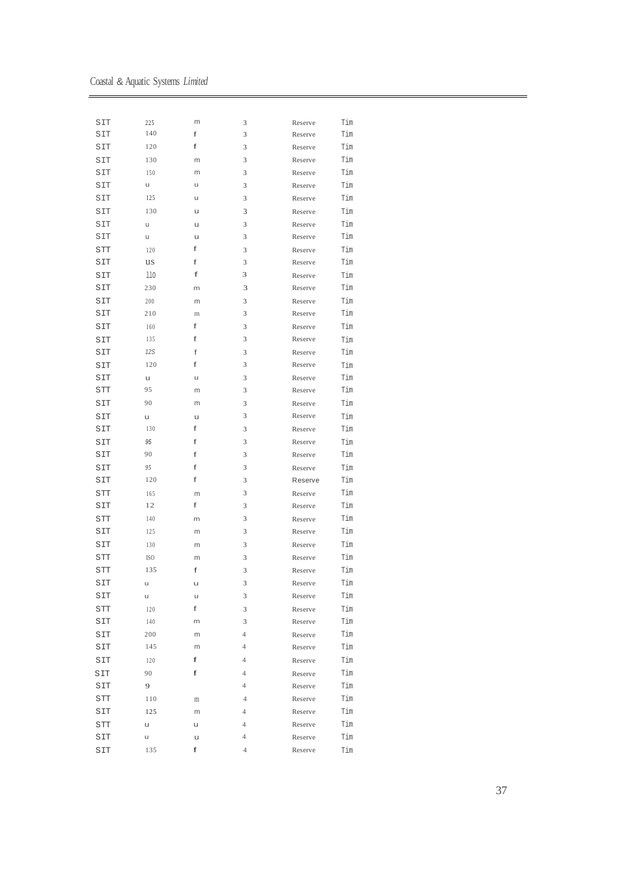Coastal & Aquatic Systems *Limited*

| SIT        | 225        | m | 3              | Reserve | Tim |
|------------|------------|---|----------------|---------|-----|
| SIT        | 140        | f | 3              | Reserve | Tim |
| SIT        | 120        | f | 3              | Reserve | Tim |
| SIT        | 130        | m | 3              | Reserve | Tim |
| SIT        | 150        | m | 3              | Reserve | Tim |
| SIT        | u          | u | 3              | Reserve | Tim |
| SIT        | 125        | u | 3              | Reserve | Tim |
| SIT        | 130        | u | 3              | Reserve | Tim |
| SIT        | u          | u | 3              | Reserve | Tim |
| SIT        | u          | u | 3              | Reserve | Tim |
| STT        | 120        | f | 3              | Reserve | Tim |
| SIT        | us         | f | 3              | Reserve | Tim |
| SIT        | 110        | f | 3              | Reserve | Tim |
| SIT        | 230        | m | 3              | Reserve | Tim |
| SIT        | 200        | m | 3              | Reserve | Tim |
| SIT        | 210        | m | 3              | Reserve | Tim |
| SIT        | 160        | f | 3              | Reserve | Tim |
| SIT        | 135        | f | 3              | Reserve | Tim |
| SIT        | 12S        | f | 3              | Reserve | Tim |
| SIT        | 120        | f | 3              | Reserve | Tim |
| SIT        | u          | u | 3              | Reserve | Tim |
| STT        | 95         | m | 3              | Reserve | Tim |
| SIT        | 90         | m | 3              | Reserve | Tim |
| SIT        | u          | u | 3              | Reserve | Tim |
| SIT        | 130        | f | 3              | Reserve | Tim |
| SIT        | 95         | f | 3              | Reserve | Tim |
| SIT        | 90         | f | 3              | Reserve | Tim |
| SIT        | 95         | f | 3              | Reserve | Tim |
| SIT        | 120        | f | 3              | Reserve | Tim |
| STT        | 165        | m | 3              | Reserve | Tim |
| SIT        | 12         | f | 3              | Reserve | Tim |
| <b>STT</b> | 140        | m | 3              | Reserve | Tim |
| SIT        | 125        | m | 3              | Reserve | Tim |
| SIT        | 130        | m | 3              | Reserve | Tim |
| STT        | <b>ISO</b> | m | 3              | Reserve | Tim |
| STT        | 135        | f | 3              | Reserve | Tim |
| SIT        | u          | u | 3              | Reserve | Tim |
| SIT        | u          | u | 3              | Reserve | Tim |
|            |            | f |                |         | Tim |
| STT<br>SIT | 120        | m | 3<br>3         | Reserve | Tim |
|            | 140<br>200 | m | $\overline{4}$ | Reserve | Tim |
| SIT        | 145        |   | 4              | Reserve |     |
| SIT        |            | m |                | Reserve | Tim |
| SIT        | 120        | f | $\overline{4}$ | Reserve | Tim |
| SIT        | 90         | f | $\overline{4}$ | Reserve | Tim |
| SIT        | 9          |   | $\overline{4}$ | Reserve | Tim |
| STT        | 110        | m | $\overline{4}$ | Reserve | Tim |
| SIT        | 125        | m | 4              | Reserve | Tim |
| STT        | u          | u | $\overline{4}$ | Reserve | Tim |
| SIT        | u          | u | 4              | Reserve | Tim |
| SIT        | 135        | f | $\overline{4}$ | Reserve | Tim |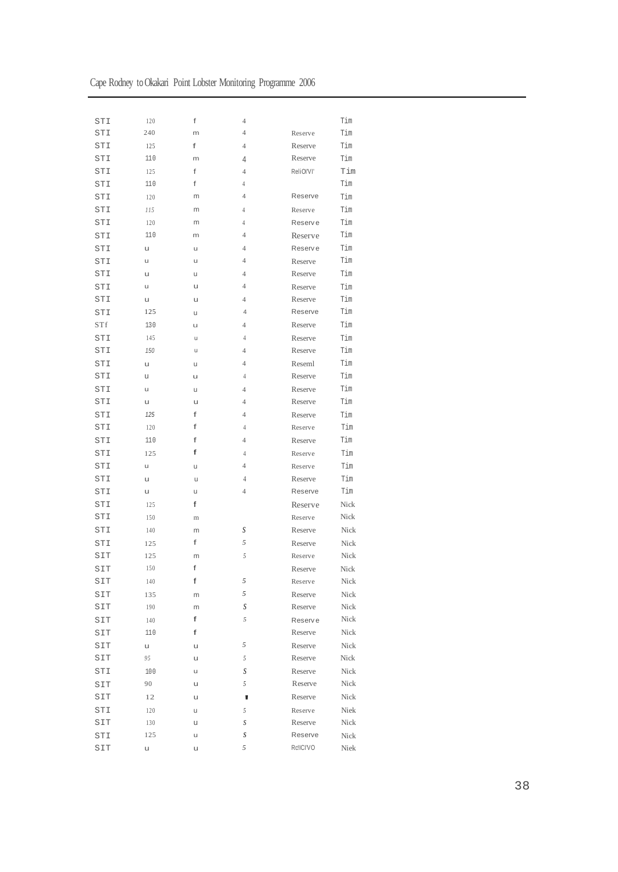| STI        | 120 | f | $\overline{4}$   |                    | Tim  |
|------------|-----|---|------------------|--------------------|------|
| STI        | 240 | m | $\overline{4}$   | Reserve            | Tim  |
| STI        | 125 | f | $\overline{4}$   | Reserve            | Tim  |
| STI        | 110 | m | 4                | Reserve            | Tim  |
| STI        | 125 | f | $\overline{4}$   | ReliOI'VI'         | Tim  |
| STI        | 110 | f | 4                |                    | Tim  |
| STI        | 120 | m | $\overline{4}$   | Reserve            | Tim  |
| STI        | 115 | m | 4                | Reserve            | Tim  |
| STI        | 120 | m | 4                | Reserve            | Tim  |
| STI        | 110 | m | $\overline{4}$   | Reserve            | Tim  |
| STI        | u   | u | $\overline{4}$   | Reserve            | Tim  |
| STI        | u   | u | $\overline{4}$   | Reserve            | Tim  |
| STI        | u   | u | 4                | Reserve            | Tim  |
| STI        | u   | u | $\overline{4}$   | Reserve            | Tim  |
| STI        | u   | u | 4                | Reserve            | Tim  |
| STI        | 125 | u | 4                | Reserve            | Tim  |
| <b>STf</b> | 130 | u | $\overline{4}$   | Reserve            | Tim  |
| STI        | 145 | u | 4                | Reserve            | Tim  |
| STI        | 150 | u | $\overline{4}$   | Reserve            | Tim  |
| STI        | u   | u | 4                | Reseml             | Tim  |
| STI        | u   | u | $\overline{4}$   | Reserve            | Tim  |
| STI        | u   | u | $\overline{4}$   | Reserve            | Tim  |
| STI        | u   | U | 4                | Reserve            | Tim  |
| STI        | 125 | f | $\overline{4}$   | Reserve            | Tim  |
| STI        | 120 | f | 4                | Reserve            | Tim  |
| STI        | 110 | f | $\overline{4}$   | Reserve            | Tim  |
| STI        | 125 | f | 4                | Reserve            | Tim  |
| STI        | u   | u | $\overline{4}$   | Reserve            | Tim  |
| STI        | u   | u | 4                | Reserve            | Tim  |
| STI        | u   | u | $\overline{4}$   | Reserve            | Tim  |
| STI        | 125 | f |                  | Reserve            | Nick |
| STI        | 150 | m |                  | Reserve            | Nick |
| STI        | 140 | m | S                | Reserve            | Nick |
| STI        | 125 | f | 5                | Reserve            | Nick |
| SIT        | 125 | m | 5                | Reserve            | Nick |
| SIT        | 150 | f |                  | Reserve            | Nick |
| SIT        | 140 | f | 5                | Reserve            | Nick |
| SIT        | 135 | m | 5                | Reserve            | Nick |
| SIT        | 190 | m | S                | Reserve            | Nick |
| SIT        |     | f | $\sqrt{2}$       |                    | Nick |
|            | 140 | f |                  | Reserve<br>Reserve | Nick |
| SIT        | 110 |   | 5                |                    |      |
| SIT        | u   | u |                  | Reserve            | Nick |
| SIT        | 95  | u | 5                | Reserve            | Nick |
| STI        | 100 | u | S                | Reserve            | Nick |
| SIT        | 90  | u | 5                | Reserve            | Nick |
| SIT        | 12  | u | ۷                | Reserve            | Nick |
| STI        | 120 | u | 5                | Reserve            | Niek |
| SIT        | 130 | u | $\boldsymbol{S}$ | Reserve            | Nick |
| STI        | 125 | u | S                | Reserve            | Nick |
| SIT        | u   | u | 5                | Rc!ICI'VO          | Niek |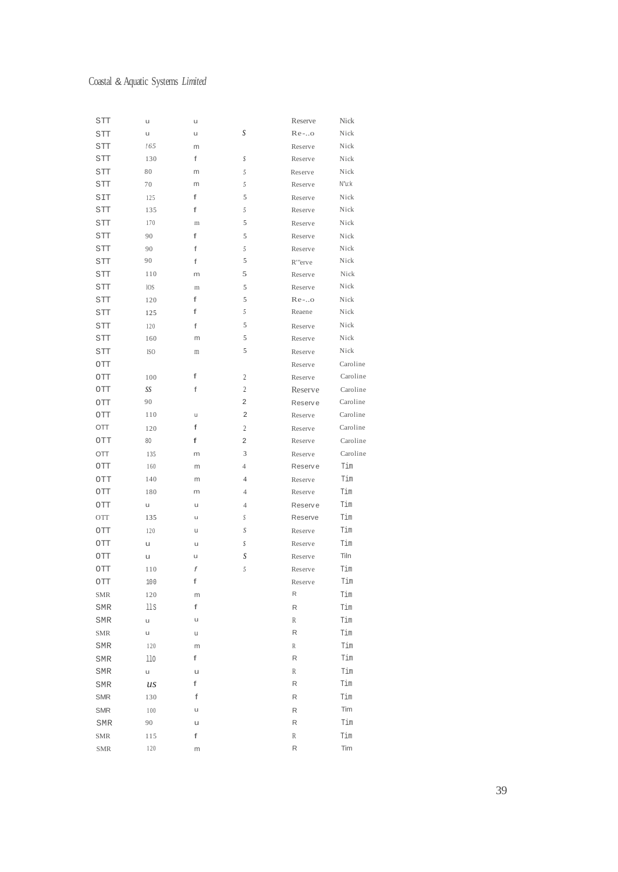#### Coastal & Aquatic Systems *Limited*

| STT              | u          | u       |                | Reserve  | Nick     |
|------------------|------------|---------|----------------|----------|----------|
| STT              | u          | u       | S              | $Re-.$ o | Nick     |
| <b>STT</b>       | !65        | m       |                | Reserve  | Nick     |
| STT              | 130        | f       | S              | Reserve  | Nick     |
| STT              | 80         | m       | 5              | Reserve  | Nick     |
| STT              | 70         | m       | 5              | Reserve  | N"u:k    |
| SIT              | 125        | f       | 5              | Reserve  | Nick     |
| STT              | 135        | f       | 5              | Reserve  | Nick     |
| STT              | 170        | $\rm m$ | 5              | Reserve  | Nick     |
| STT              | 90         | f       | 5              | Reserve  | Nick     |
| STT              | 90         | f       | 5              | Reserve  | Nick     |
| STT              | 90         | f       | 5              | R'"erve  | Nick     |
| STT              | 110        | m       | 5              | Reserve  | Nick     |
| STT              | <b>IOS</b> | $\rm m$ | 5              | Reserve  | Nick     |
| STT              | 120        | f       | 5              | $Re-.$ o | Nick     |
| STT              | 125        | f       | 5              | Reaene   | Nick     |
| STT              | 120        | f       | 5              | Reserve  | Nick     |
| STT              | 160        | m       | 5              | Reserve  | Nick     |
| STT              | ISO.       | $\rm m$ | 5              | Reserve  | Nick     |
| OTT              |            |         |                | Reserve  | Caroline |
| OTT              | 100        | f       | 2              | Reserve  | Caroline |
| OTT              | SS         | f       | 2              | Reserve  | Caroline |
| OTT              | 90         |         | 2              | Reserve  | Caroline |
| OTT              | 110        | u       | 2              | Reserve  | Caroline |
| OП               | 120        | f       | 2              | Reserve  | Caroline |
| OTT              | 80         | f       | 2              | Reserve  | Caroline |
| OTT              | 135        | m       | 3              | Reserve  | Caroline |
| OTT              | 160        | m       | 4              | Reserve  | Tim      |
| OTT              | 140        | m       | $\overline{4}$ | Reserve  | Tim      |
| OTT              | 180        | m       | $\overline{4}$ | Reserve  | Tim      |
| OTT              | u          | u       | $\overline{4}$ | Reserve  | Tim      |
| OTT              | 135        | u       | S              | Reserve  | Tim      |
| OTT              | 120        | u       | S              | Reserve  | Tim      |
| OTT              | u          | u       | S              | Reserve  | Tim      |
| OTT              | u          | u       | S              | Reserve  | Tiln     |
| OTT              | 110        | f       | 5              | Reserve  | Tim      |
| $\overline{OTT}$ | $100$      | f       |                | Reserve  | Tim      |
| <b>SMR</b>       | 120        | m       |                | R        | Tim      |
| SMR              | 11S        | f       |                | R        | Tim      |
| SMR              | u          | u       |                | R        | Tim      |
| <b>SMR</b>       | u          | u       |                | R        | Tim      |
| <b>SMR</b>       | 120        | m       |                | R        | Tim      |
| SMR              | 110        | f       |                | R        | Tim      |
| SMR              | u          | u       |                | R        | Tim      |
| SMR              | us         | f       |                | R        | Tim      |
| <b>SMR</b>       | 130        | f       |                | R        | Tim      |
| <b>SMR</b>       | 100        | u       |                | R        | Tim      |
| SMR              | 90         | u       |                | R        | Tim      |
| <b>SMR</b>       | 115        | f       |                | R        | Tim      |
| <b>SMR</b>       | 120        | m       |                | R        | Tim      |
|                  |            |         |                |          |          |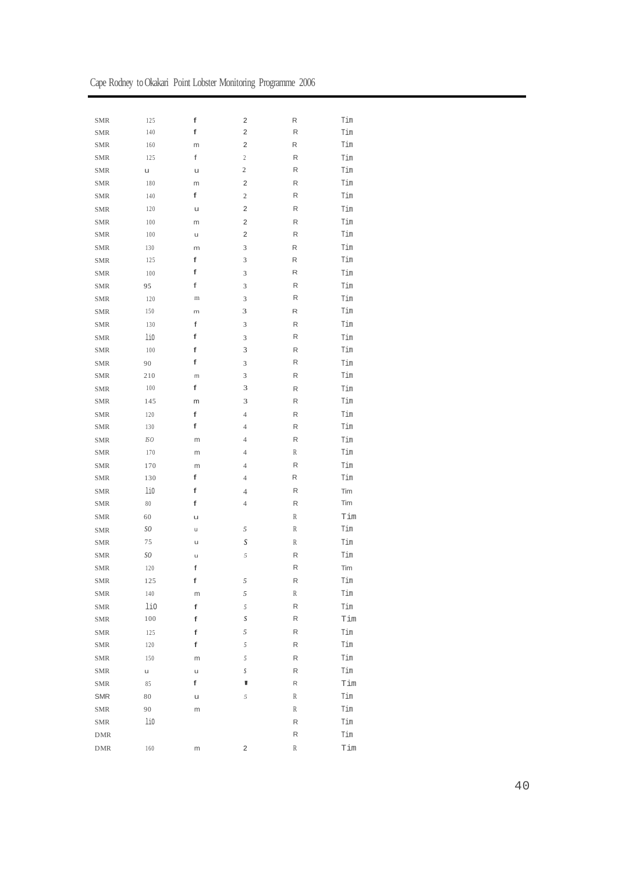|  | Cape Rodney to Okakari Point Lobster Monitoring Programme 2006 |  |  |
|--|----------------------------------------------------------------|--|--|
|--|----------------------------------------------------------------|--|--|

| <b>SMR</b> | 125           | f       | $\overline{\mathbf{c}}$ | R                | Tim                         |
|------------|---------------|---------|-------------------------|------------------|-----------------------------|
| <b>SMR</b> | 140           | f       | 2                       | R                | Tim                         |
| <b>SMR</b> | 160           | m       | $\mathbf 2$             | R                | Tim                         |
| <b>SMR</b> | 125           | f       | $\overline{c}$          | ${\sf R}$        | Tim                         |
| <b>SMR</b> | u             | u       | $\overline{\mathbf{c}}$ | R                | Tim                         |
| <b>SMR</b> | 180           | m       | $\overline{c}$          | R                | Tim                         |
| <b>SMR</b> | 140           | f       | $\sqrt{2}$              | R                | Tim                         |
| <b>SMR</b> | 120           | u       | 2                       | R                | Tim                         |
| <b>SMR</b> | 100           | m       | $\overline{\mathbf{c}}$ | ${\sf R}$        | Tim                         |
| SMR        | 100           | u       | 2                       | R                | Tim                         |
| <b>SMR</b> | 130           | m       | 3                       | R                | Tim                         |
| <b>SMR</b> | 125           | f       | 3                       | R                | Tim                         |
| <b>SMR</b> | 100           | f       | 3                       | R                | Tim                         |
| <b>SMR</b> | 95            | f       | 3                       | R                | Tim                         |
| <b>SMR</b> | 120           | $\rm m$ | 3                       | ${\sf R}$        | Tim                         |
| <b>SMR</b> | 150           | m       | 3                       | R                | Tim                         |
| <b>SMR</b> | 130           | f       | 3                       | ${\sf R}$        | Tim                         |
| <b>SMR</b> | li0           | f       | 3                       | ${\sf R}$        | Tim                         |
| <b>SMR</b> | 100           | f       | 3                       | ${\sf R}$        | Tim                         |
| <b>SMR</b> | 90            | f       | 3                       | ${\sf R}$        | Tim                         |
| SMR        | 210           | m       | 3                       | R                | Tim                         |
| <b>SMR</b> | 100           | f       | 3                       | R                | Tim                         |
| <b>SMR</b> | 145           | m       | 3                       | R                | Tim                         |
| <b>SMR</b> | 120           | f       | $\overline{4}$          | R                | Tim                         |
| <b>SMR</b> | 130           | f       | $\overline{4}$          | R                | Tim                         |
| <b>SMR</b> | IS O          | m       | $\overline{4}$          | R                | Tim                         |
| <b>SMR</b> | 170           | m       | $\overline{4}$          | R                | Tim                         |
| <b>SMR</b> | 170           | m       | $\overline{4}$          | R                | Tim                         |
| <b>SMR</b> | 130           | f       | $\overline{4}$          | R                | Tim                         |
| <b>SMR</b> | li0           | f       | 4                       | R                | Tim                         |
| <b>SMR</b> | $\rm 80$      | f       | $\overline{4}$          | ${\sf R}$        | Tim                         |
| <b>SMR</b> | 60            | u       |                         | $\, {\mathbb R}$ | Tim                         |
| <b>SMR</b> | SO.           | u       | 5                       | $\, {\mathbb R}$ | $\mathop{\rm Tim}\nolimits$ |
| <b>SMR</b> | 75            | u       | $\boldsymbol{S}$        | $\, {\mathbb R}$ | Tim                         |
| <b>SMR</b> | $\mathit{SO}$ | u       | 5                       | ${\sf R}$        | Tim                         |
| <b>SMR</b> | 120           | f       |                         | R                | Tim                         |
| <b>SMR</b> | 125           | f       | 5                       | R                | Tim                         |
| SMR        | $140\,$       | m       | 5                       | $\,$ R           | $\mathop{\rm Tim}\nolimits$ |
| <b>SMR</b> | li0           | f       | 5                       | R                | Tim                         |
| <b>SMR</b> | 100           | f       | $\boldsymbol{S}$        | R                | Tim                         |
| <b>SMR</b> | 125           | f       | 5                       | R                | Tim                         |
| <b>SMR</b> | 120           | f       | 5                       | R                | $\mathop{\rm Tim}\nolimits$ |
| <b>SMR</b> | 150           | m       | 5                       | R                | Tim                         |
| <b>SMR</b> | u             | u       | S                       | R                | $\mathop{\rm Tim}\nolimits$ |
| <b>SMR</b> | 85            | f       | V                       | R                | Tim                         |
| <b>SMR</b> | 80            | u       | 5                       | R                | Tim                         |
| <b>SMR</b> | 90            | m       |                         | R                | $\mathop{\rm Tim}\nolimits$ |
| <b>SMR</b> | li0           |         |                         | ${\sf R}$        | Tim                         |
| <b>DMR</b> |               |         |                         | ${\sf R}$        | Tim                         |
| <b>DMR</b> | 160           | m       | 2                       | R                | Tim                         |
|            |               |         |                         |                  |                             |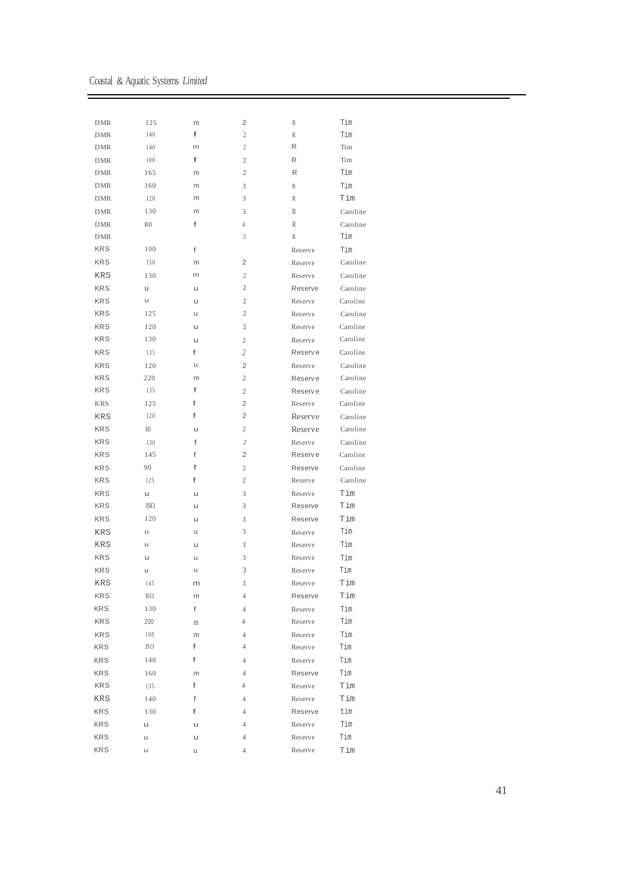Coastal & Aquatic Systems *Limited*

-

| <b>DMR</b> | 125        | m | 2                                | R       | Tim      |
|------------|------------|---|----------------------------------|---------|----------|
| <b>DMR</b> | 140        | f | 2                                | R       | Tim      |
| <b>DMR</b> | 140        | m | $\overline{c}$                   | R       | Tim      |
| <b>DMR</b> | 100        | f | 2                                | R       | Tim      |
| <b>DMR</b> | 165        | m | 2                                | R       | Tim      |
| <b>DMR</b> | 160        | m | 3                                | R       | Tim      |
| <b>DMR</b> | 120        | m | 3                                | R       | Tim      |
| <b>DMR</b> | 130        | m | 3                                | R       | Caroline |
| <b>DMR</b> | 80         | f | 4                                | R       | Caroline |
| <b>DMR</b> |            |   | 5                                | R       | Tim      |
| <b>KRS</b> | 100        | f |                                  | Reserve | Tim      |
| <b>KRS</b> | 150        | m | 2                                | Reserve | Caroline |
| KRS        | 130        | m | $\overline{c}$                   | Reserve | Caroline |
| <b>KRS</b> | u          | u | $\overline{2}$                   | Reserve | Caroline |
| <b>KRS</b> | u          | u | $\overline{2}$                   | Reserve | Caroline |
| <b>KRS</b> | 125        | u | $\overline{2}$                   | Reserve | Caroline |
| <b>KRS</b> | 120        | u | 2                                | Reserve | Caroline |
| <b>KRS</b> | 130        | u | 2                                | Reserve | Caroline |
| <b>KRS</b> | 135        | f | 2                                | Reserve | Caroline |
| <b>KRS</b> | 120        | u | 2                                | Reserve | Caroline |
| <b>KRS</b> | 220        | m | 2                                | Reserve | Caroline |
| <b>KRS</b> | 135        | f | 2                                | Reserve | Caroline |
| <b>KRS</b> | 125        | f | 2                                | Reserve | Caroline |
| <b>KRS</b> | 120        | f | 2                                | Reserve | Caroline |
| <b>KRS</b> | SO.        | u | $\mathbf{2}$                     | Reserve | Caroline |
| <b>KRS</b> |            | f | $\overline{c}$                   |         |          |
| <b>KRS</b> | 130        | f | $\overline{2}$                   | Reserve | Caroline |
|            | 145<br>90  | f |                                  | Reserve | Caroline |
| <b>KRS</b> |            | f | $\mathfrak{2}$<br>$\mathfrak{2}$ | Reserve | Caroline |
| <b>KRS</b> | 125        |   |                                  | Reserve | Caroline |
| <b>KRS</b> | u          | u | 3                                | Reserve | Tim      |
| <b>KRS</b> | <b>ISO</b> | u | 3                                | Reserve | Tim      |
| <b>KRS</b> | 120        | u | 3                                | Reserve | Tim      |
| <b>KRS</b> | u          | u | 3                                | Reserve | Tim      |
| KRS        | u          | u | 3                                | Reserve | Tim      |
| <b>KRS</b> | u          | u | 3                                | Reserve | Tim      |
| <b>KRS</b> | u          | u | 3                                | Reserve | Tim      |
| KRS        | 145        | m | 3                                | Reserve | Tim      |
| <b>KRS</b> | ISO.       | m | $\overline{4}$                   | Reserve | Tim      |
| KRS        | 130        | f | $\overline{4}$                   | Reserve | Tim      |
| <b>KRS</b> | 200        | m | $\overline{4}$                   | Reserve | Tim      |
| <b>KRS</b> | 160        | m | $\overline{4}$                   | Reserve | Tim      |
| <b>KRS</b> | IS O       | f | 4                                | Reserve | Tim      |
| <b>KRS</b> | 140        | f | $\overline{4}$                   | Reserve | Tim      |
| <b>KRS</b> | 160        | m | $\overline{4}$                   | Reserve | Tim      |
| <b>KRS</b> | 135        | f | 4                                | Reserve | Tim      |
| KRS        | 140        | f | $\overline{4}$                   | Reserve | Tim      |
| <b>KRS</b> | 130        | f | $\overline{4}$                   | Reserve | tim      |
| <b>KRS</b> | u          | u | $\overline{4}$                   | Reserve | Tim      |
| <b>KRS</b> | u          | u | $\overline{4}$                   | Reserve | Tim      |
| <b>KRS</b> | u          | u | $\overline{4}$                   | Reserve | Tim      |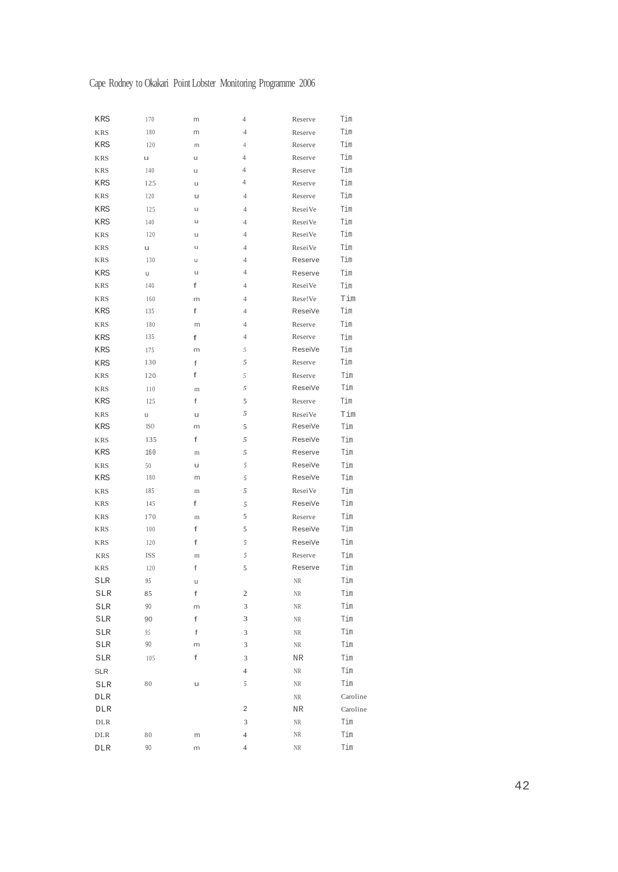# Cape Rodney to Okakari Point Lobster Monitoring Programme 2006

| KRS         | 170  | m            | $\overline{4}$ | Reserve  | Tim      |
|-------------|------|--------------|----------------|----------|----------|
| <b>KRS</b>  | 180  | m            | 4              | Reserve  | Tim      |
| <b>KRS</b>  | 120  | m            | $\overline{4}$ | Reserve  | Tim      |
| <b>KRS</b>  | u    | u            | $\overline{4}$ | Reserve  | Tim      |
| <b>KRS</b>  | 140  | u            | 4              | Reserve  | Tim      |
| KRS         | 125  | u            | 4              | Reserve  | Tim      |
| KRS         | 120  | u            | 4              | Reserve  | Tim      |
| KRS         | 125  | u            | $\overline{4}$ | ReseiVe  | Tim      |
| KRS         | 140  | u            | $\overline{4}$ | ReseiVe  | Tim      |
| <b>KRS</b>  | 120  | u            | 4              | ReseiVe  | Tim      |
| KRS         | u    | u            | 4              | ReseiVe  | Tim      |
| KRS         | 130  | u            | 4              | Reserve  | Tim      |
| KRS         | u    | u            | 4              | Reserve  | Tim      |
| KRS         | 140  | f            | 4              | Resei Ve | Tim      |
| <b>KRS</b>  | 160  | m            | $\overline{4}$ | Rese!Ve  | Tim      |
| KRS         | 135  | f            | 4              | ReseiVe  | Tim      |
| KRS         | 180  | m            | $\overline{4}$ | Reserve  | Tim      |
| KRS         | 135  | f            | $\overline{4}$ | Reserve  | Tim      |
| KRS         | 175  | m            | 5              | ReseiVe  | Tim      |
| KRS         | 130  | f            | 5              | Reserve  | Tim      |
| KRS         | 120  | f            | 5              | Reserve  | Tim      |
| KRS         | 110  | $\rm m$      | 5              | ReseiVe  | Tim      |
| KRS         | 125  | f            | 5              | Reserve  | Tim      |
| KRS         | u    | u            | 5              | ReseiVe  | Tim      |
| KRS         | ISO. | m            | 5              | ReseiVe  | Tim      |
| <b>KRS</b>  | 135  | f            | 5              | ReseiVe  | Tim      |
| KRS         | 160  | $\rm m$      | 5              | Reserve  | Tim      |
| <b>KRS</b>  | 50   | u            | 5              | ReseiVe  | Tim      |
| KRS         | 180  | m            | 5              | ReseiVe  | Tim      |
| <b>KRS</b>  | 185  | $\rm m$      | 5              | Resei Ve | Tim      |
| <b>KRS</b>  | 145  | f            | 5              | ReseiVe  | Tim      |
| <b>KRS</b>  |      |              | 5              | Reserve  | Tim      |
|             | 170  | $\rm m$<br>f | 5              | ReseiVe  | Tim      |
| KRS         | 100  |              |                |          |          |
| KRS         | 120  | f            | 5              | ReseiVe  | Tim      |
| <b>KRS</b>  | ISS  | $\rm m$      | 5              | Reserve  | Tim      |
| <b>KRS</b>  | 120  | f            | 5              | Reserve  | Tim      |
| SLR         | 95   | u            |                | NR       | Tim      |
| SLR         | 85   | f            | 2              | NR       | Tim      |
| SLR         | 90   | m            | 3              | $\rm NR$ | Tim      |
| SLR         | 90   | f            | 3              | NR       | Tim      |
| SLR         | 95   | f            | 3              | $\rm NR$ | Tim      |
| SLR         | 90   | m            | 3              | NR       | Tim      |
| SLR         | 105  | f            | 3              | NR       | Tim      |
| SLR         |      |              | 4              | NR       | Tim      |
| ${\tt SLR}$ | 80   | u            | 5              | NR       | Tim      |
| DLR         |      |              |                | $\rm NR$ | Caroline |
| DLR         |      |              | 2              | NR       | Caroline |
| $\rm{DLR}$  |      |              | 3              | NR       | Tim      |
| DLR         | 80   | m            | 4              | NR       | Tim      |
| DLR         | 90   | m            | $\overline{4}$ | NR       | Tim      |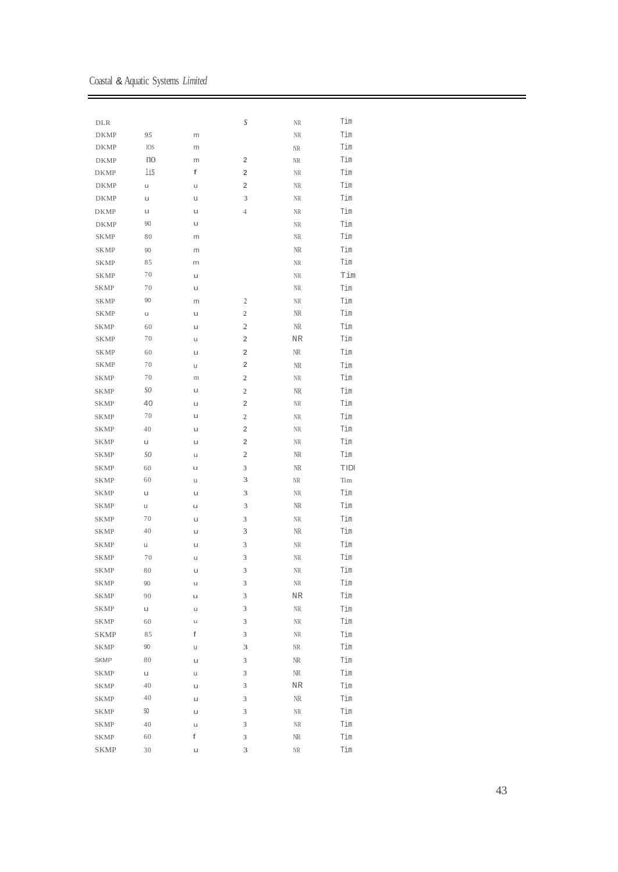Coastal & Aquatic Systems *Limited*

| DLR         |          |   | S                | NR         | Tim  |
|-------------|----------|---|------------------|------------|------|
| <b>DKMP</b> | 95       | m |                  | NR         | Tim  |
| <b>DKMP</b> | 10S      | m |                  | NR         | Tim  |
| <b>DKMP</b> | no       | m | 2                | NR         | Tim  |
| <b>DKMP</b> | lis      | f | 2                | NR         | Tim  |
| <b>DKMP</b> | u        | u | 2                | NR         | Tim  |
| <b>DKMP</b> | u        | U | 3                | NR         | Tim  |
| <b>DKMP</b> | u        | u | $\overline{4}$   | NR         | Tim  |
| <b>DKMP</b> | 90       | u |                  | NR         | Tim  |
| SKMP        | 80       | m |                  | NR         | Tim  |
| <b>SKMP</b> | 90       | m |                  | NR         | Tim  |
| <b>SKMP</b> | 85       | m |                  | NR         | Tim  |
| <b>SKMP</b> | 70       | u |                  | NR         | Tim  |
| <b>SKMP</b> | 70       | u |                  | NR         | Tim  |
| <b>SKMP</b> | 90       | m | 2                | NR         | Tim  |
| <b>SKMP</b> | u        | u | $\mathbf{2}$     | NR         | Tim  |
| <b>SKMP</b> | 60       | u | 2                | NR         | Tim  |
| <b>SKMP</b> | 70       | u | 2                | NR         | Tim  |
| SKMP        | 60       | u | 2                | NR         | Tim  |
| <b>SKMP</b> | 70       | u | 2                | NR         | Tim  |
| <b>SKMP</b> | 70       | m | 2                | NR         | Tim  |
| <b>SKMP</b> | SO       | u | $\mathbf{2}$     | NR         | Tim  |
| <b>SKMP</b> | 40       | u | 2                | NR         | Tim  |
| <b>SKMP</b> | 70       | u | $\boldsymbol{2}$ | NR         | Tim  |
| <b>SKMP</b> | 40       | u | 2                | NR         | Tim  |
| SKMP        | u        | u | 2                | NR         | Tim  |
| SKMP        | SO.      | u | $\mathfrak{2}$   | NR         | Tim  |
| <b>SKMP</b> | 60       | u | 3                | NR         | TIDI |
| <b>SKMP</b> | 60       | u | 3                | NR         | Tim  |
| <b>SKMP</b> | u        | u | 3                | NR         | Tim  |
| <b>SKMP</b> | U        | u | 3                | NR         | Tim  |
| <b>SKMP</b> | 70       | u | 3                | NR         | Tim  |
| <b>SKMP</b> | 40       | u | 3                | NR         | Tim  |
| <b>SKMP</b> | u        | u | 3                | NR         | Tim  |
| <b>SKMP</b> | 70       | u | 3                | NR         | Tim  |
| <b>SKMP</b> | 80       | U | 3                | NR         | Tim  |
| <b>SKMP</b> | 90       | u | 3                | NR         | Tim  |
| <b>SKMP</b> | 90       | u | 3                | ${\rm NR}$ | Tim  |
| SKMP        | u        | u | 3                | NR         | Tim  |
| <b>SKMP</b> | 60       | u | 3                | NR         | Tim  |
| <b>SKMP</b> | 85       | f | 3                | NR         | Tim  |
| <b>SKMP</b> | 90       |   |                  |            | Tim  |
| <b>SKMP</b> | 80       | u | 3                | NR         |      |
| <b>SKMP</b> |          | u | 3                | NR         | Tim  |
|             | u        | u | 3                | NR         | Tim  |
| <b>SKMP</b> | 40<br>40 | u | 3                | ${\rm NR}$ | Tim  |
| <b>SKMP</b> |          | u | 3                | $\rm NR$   | Tim  |
| <b>SKMP</b> | SO       | u | 3                | NR         | Tim  |
| <b>SKMP</b> | 40       | u | 3                | NR         | Tim  |
| <b>SKMP</b> | 60       | f | 3                | NR         | Tim  |
| <b>SKMP</b> | 30       | u | 3                | NR         | Tim  |

 $\overline{\phantom{0}}$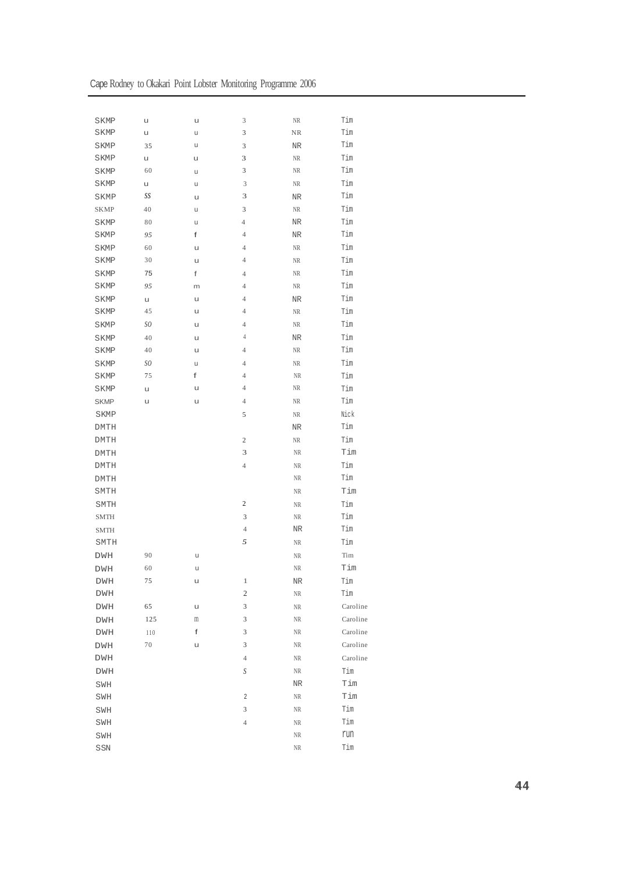| Cape Rodney to Okakari Point Lobster Monitoring Programme 2006 |  |  |  |  |
|----------------------------------------------------------------|--|--|--|--|
|----------------------------------------------------------------|--|--|--|--|

| <b>SKMP</b>                                       | U   | u | 3                       | NR        | Tim                         |
|---------------------------------------------------|-----|---|-------------------------|-----------|-----------------------------|
| SKMP                                              | u   | u | 3                       | NR        | Tim                         |
| <b>SKMP</b>                                       | 35  | u | 3                       | NR        | Tim                         |
| <b>SKMP</b>                                       | u   | u | 3                       | $\rm NR$  | Tim                         |
| <b>SKMP</b>                                       | 60  | u | 3                       | $\rm NR$  | Tim                         |
| <b>SKMP</b>                                       | u   | u | 3                       | $\rm NR$  | Tim                         |
| SKMP                                              | SS  | u | 3                       | NR        | Tim                         |
| <b>SKMP</b>                                       | 40  | u | 3                       | $\rm NR$  | Tim                         |
| <b>SKMP</b>                                       | 80  | u | $\overline{4}$          | NR        | Tim                         |
| SKMP                                              | 95  | f | $\overline{4}$          | NR        | Tim                         |
| SKMP                                              | 60  | u | $\overline{4}$          | NR        | Tim                         |
| <b>SKMP</b>                                       | 30  | U | $\overline{4}$          | $\rm NR$  | Tim                         |
| SKMP                                              | 75  | f | $\overline{4}$          | NR        | Tim                         |
| SKMP                                              | 95  | m | $\overline{4}$          | $\rm NR$  | Tim                         |
| <b>SKMP</b>                                       | u   | u | $\overline{4}$          | NR        | Tim                         |
| <b>SKMP</b>                                       | 45  | u | $\overline{4}$          | $\rm NR$  | Tim                         |
| SKMP                                              | SO. | u | $\overline{4}$          | $\rm NR$  | Tim                         |
| SKMP                                              | 40  | u | $\overline{4}$          | NR        | Tim                         |
| <b>SKMP</b>                                       | 40  | u | $\overline{4}$          | $\rm NR$  | Tim                         |
| SKMP                                              | SO. | u | $\overline{4}$          | NR        | Tim                         |
| <b>SKMP</b>                                       | 75  | f | $\overline{4}$          | NR        | Tim                         |
| <b>SKMP</b>                                       | u   | u | $\overline{4}$          | NR        | Tim                         |
| <b>SKMP</b>                                       | u   | u | $\overline{4}$          | NR        | Tim                         |
| SKMP                                              |     |   | 5                       | NR        | Nick                        |
| <b>DMTH</b>                                       |     |   |                         | NR        | Tim                         |
| <b>DMTH</b>                                       |     |   | $\mathbf{2}$            | NR        | Tim                         |
| <b>DMTH</b>                                       |     |   | 3                       | NR        | Tim                         |
| <b>DMTH</b>                                       |     |   | $\overline{4}$          | NR        | Tim                         |
| <b>DMTH</b>                                       |     |   |                         | NR        | Tim                         |
| SMTH                                              |     |   |                         | NR        | Tim                         |
| SMTH                                              |     |   | $\boldsymbol{2}$        | NR        | Tim                         |
| <b>SMTH</b>                                       |     |   | 3                       | NR        | Tim                         |
| <b>SMTH</b>                                       |     |   | $\overline{4}$          | NR        | Tim                         |
| SMTH                                              |     |   | 5                       | NR        | Tim                         |
| DWH                                               | 90  | u |                         | NR        | Tim                         |
| <b>DWH</b>                                        | 60  | u |                         | NR        | Tim                         |
| DWH                                               | 75  | u | $\,1$                   | NR        | $\mathop{\rm Tim}\nolimits$ |
| DWH                                               |     |   | $\mathbf{2}$            | NR        | Tim                         |
| ${\rm DWH}$                                       | 65  | u | 3                       | NR        | Caroline                    |
| DWH                                               | 125 | m | 3                       | NR        | Caroline                    |
| DWH                                               | 110 | f | 3                       | NR        | Caroline                    |
| DWH                                               | 70  | u | 3                       | NR        | Caroline                    |
| DWH                                               |     |   | $\overline{4}$          | NR        | Caroline                    |
| DWH                                               |     |   | S                       | NR        | Tim                         |
| $\texttt{SWH}$                                    |     |   |                         | $\rm{NR}$ | Tim                         |
| SWH                                               |     |   | $\overline{\mathbf{c}}$ | NR        | Tim                         |
| SWH                                               |     |   | 3                       | NR        | Tim                         |
| SWH                                               |     |   | $\overline{4}$          | NR        | Tim                         |
| SWH                                               |     |   |                         | NR        | run                         |
| $\mathop{\rm S}\nolimits\mathop{\rm SN}\nolimits$ |     |   |                         | NR        | Tim                         |
|                                                   |     |   |                         |           |                             |